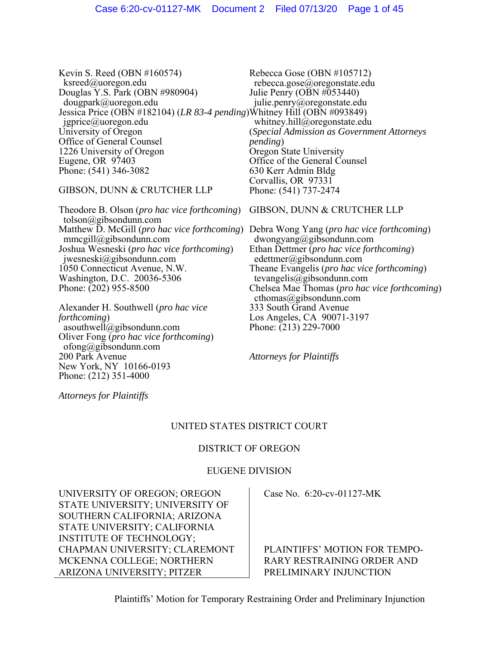Kevin S. Reed (OBN #160574) ksreed@uoregon.edu Douglas Y.S. Park (OBN #980904) dougpark@uoregon.edu Jessica Price (OBN #182104) (*LR 83-4 pending*) Whitney Hill (OBN #093849) jgprice@uoregon.edu University of Oregon Office of General Counsel 1226 University of Oregon Eugene, OR 97403 Phone: (541) 346-3082

#### GIBSON, DUNN & CRUTCHER LLP

Theodore B. Olson (*pro hac vice forthcoming*) GIBSON, DUNN & CRUTCHER LLP tolson@gibsondunn.com mmcgill@gibsondunn.com Joshua Wesneski (*pro hac vice forthcoming*) jwesneski@gibsondunn.com 1050 Connecticut Avenue, N.W. Washington, D.C. 20036-5306 Phone: (202) 955-8500

Alexander H. Southwell (*pro hac vice forthcoming*) asouthwell@gibsondunn.com Oliver Fong (*pro hac vice forthcoming*) ofong@gibsondunn.com 200 Park Avenue New York, NY 10166-0193 Phone: (212) 351-4000

Rebecca Gose (OBN #105712) rebecca.gose@oregonstate.edu Julie Penry (OBN #053440) julie.penry@oregonstate.edu whitney.hill@oregonstate.edu (*Special Admission as Government Attorneys pending*) Oregon State University Office of the General Counsel 630 Kerr Admin Bldg Corvallis, OR 97331 Phone: (541) 737-2474

Matthew D. McGill (*pro hac vice forthcoming*) Debra Wong Yang (*pro hac vice forthcoming*) dwongyang@gibsondunn.com Ethan Dettmer (*pro hac vice forthcoming*) edettmer@gibsondunn.com Theane Evangelis (*pro hac vice forthcoming*) tevangelis@gibsondunn.com Chelsea Mae Thomas (*pro hac vice forthcoming*) cthomas@gibsondunn.com 333 South Grand Avenue Los Angeles, CA 90071-3197 Phone: (213) 229-7000

*Attorneys for Plaintiffs*

*Attorneys for Plaintiffs*

#### UNITED STATES DISTRICT COURT

#### DISTRICT OF OREGON

#### EUGENE DIVISION

UNIVERSITY OF OREGON; OREGON STATE UNIVERSITY; UNIVERSITY OF SOUTHERN CALIFORNIA; ARIZONA STATE UNIVERSITY; CALIFORNIA INSTITUTE OF TECHNOLOGY; CHAPMAN UNIVERSITY; CLAREMONT MCKENNA COLLEGE; NORTHERN ARIZONA UNIVERSITY; PITZER

Case No. 6:20-cv-01127-MK

PLAINTIFFS' MOTION FOR TEMPO-RARY RESTRAINING ORDER AND PRELIMINARY INJUNCTION

Plaintiffs' Motion for Temporary Restraining Order and Preliminary Injunction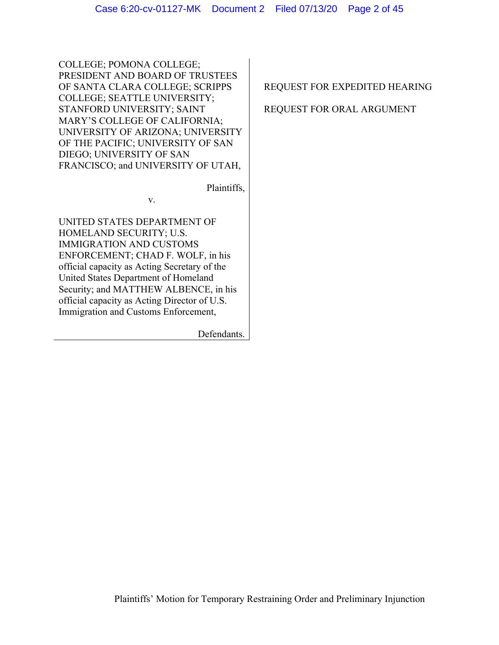COLLEGE; POMONA COLLEGE; PRESIDENT AND BOARD OF TRUSTEES OF SANTA CLARA COLLEGE; SCRIPPS COLLEGE; SEATTLE UNIVERSITY; STANFORD UNIVERSITY; SAINT MARY'S COLLEGE OF CALIFORNIA; UNIVERSITY OF ARIZONA; UNIVERSITY OF THE PACIFIC; UNIVERSITY OF SAN DIEGO; UNIVERSITY OF SAN FRANCISCO; and UNIVERSITY OF UTAH,

Plaintiffs,

v.

UNITED STATES DEPARTMENT OF HOMELAND SECURITY; U.S. IMMIGRATION AND CUSTOMS ENFORCEMENT; CHAD F. WOLF, in his official capacity as Acting Secretary of the United States Department of Homeland Security; and MATTHEW ALBENCE, in his official capacity as Acting Director of U.S. Immigration and Customs Enforcement,

Defendants.

### REQUEST FOR EXPEDITED HEARING

### REQUEST FOR ORAL ARGUMENT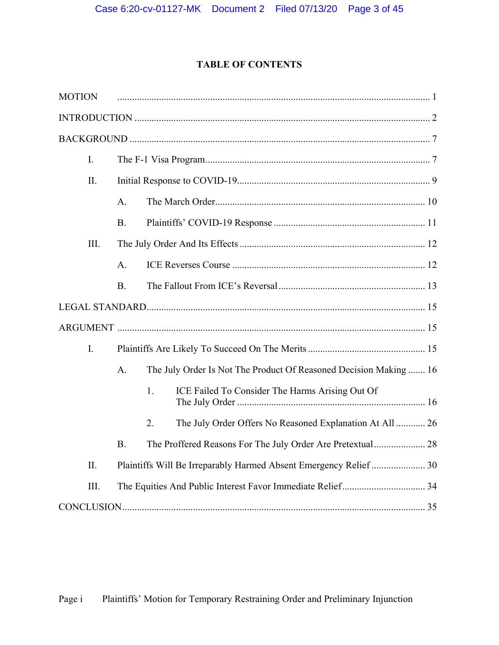## **TABLE OF CONTENTS**

| <b>MOTION</b>  |                                                                         |
|----------------|-------------------------------------------------------------------------|
|                |                                                                         |
|                |                                                                         |
| $\mathbf{I}$ . |                                                                         |
| II.            |                                                                         |
|                | A.                                                                      |
|                | <b>B.</b>                                                               |
| III.           |                                                                         |
|                | A.                                                                      |
|                | <b>B.</b>                                                               |
|                |                                                                         |
|                |                                                                         |
| $\mathbf{I}$ . |                                                                         |
|                | The July Order Is Not The Product Of Reasoned Decision Making  16<br>A. |
|                | ICE Failed To Consider The Harms Arising Out Of<br>1.                   |
|                | The July Order Offers No Reasoned Explanation At All  26<br>2.          |
|                | The Proffered Reasons For The July Order Are Pretextual 28<br><b>B.</b> |
| II.            | Plaintiffs Will Be Irreparably Harmed Absent Emergency Relief  30       |
| III.           |                                                                         |
|                |                                                                         |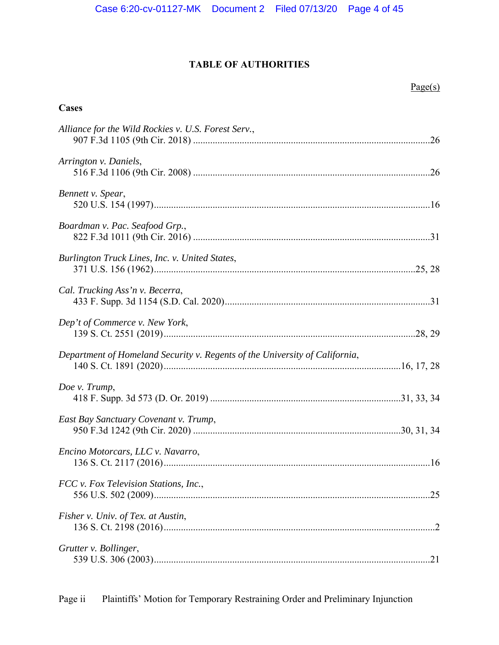## **TABLE OF AUTHORITIES**

**Cases** 

## Page(s)

| Alliance for the Wild Rockies v. U.S. Forest Serv.,                         |  |
|-----------------------------------------------------------------------------|--|
| Arrington v. Daniels,                                                       |  |
| Bennett v. Spear,                                                           |  |
| Boardman v. Pac. Seafood Grp.,                                              |  |
| Burlington Truck Lines, Inc. v. United States,                              |  |
| Cal. Trucking Ass'n v. Becerra,                                             |  |
| Dep't of Commerce v. New York,                                              |  |
| Department of Homeland Security v. Regents of the University of California, |  |
| Doe v. Trump,                                                               |  |
| East Bay Sanctuary Covenant v. Trump,                                       |  |
| Encino Motorcars, LLC v. Navarro,                                           |  |
| FCC v. Fox Television Stations, Inc.,                                       |  |
| Fisher v. Univ. of Tex. at Austin,                                          |  |
| Grutter v. Bollinger,                                                       |  |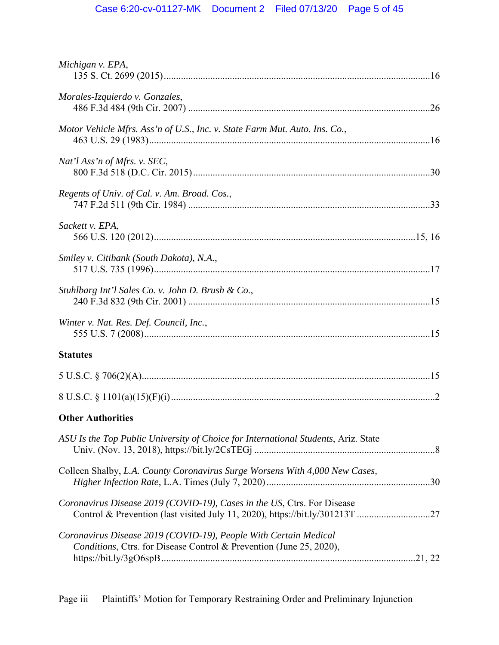| Michigan v. EPA,                                                                                                                                        |
|---------------------------------------------------------------------------------------------------------------------------------------------------------|
| Morales-Izquierdo v. Gonzales,                                                                                                                          |
| Motor Vehicle Mfrs. Ass'n of U.S., Inc. v. State Farm Mut. Auto. Ins. Co.,                                                                              |
| Nat'l Ass'n of Mfrs. v. SEC,                                                                                                                            |
| Regents of Univ. of Cal. v. Am. Broad. Cos.,                                                                                                            |
| Sackett v. EPA,                                                                                                                                         |
| Smiley v. Citibank (South Dakota), N.A.,                                                                                                                |
| Stuhlbarg Int'l Sales Co. v. John D. Brush & Co.,                                                                                                       |
| Winter v. Nat. Res. Def. Council, Inc.,                                                                                                                 |
| <b>Statutes</b>                                                                                                                                         |
|                                                                                                                                                         |
|                                                                                                                                                         |
| <b>Other Authorities</b>                                                                                                                                |
| ASU Is the Top Public University of Choice for International Students, Ariz. State                                                                      |
| Colleen Shalby, L.A. County Coronavirus Surge Worsens With 4,000 New Cases,                                                                             |
| Coronavirus Disease 2019 (COVID-19), Cases in the US, Ctrs. For Disease<br>Control & Prevention (last visited July 11, 2020), https://bit.ly/301213T 27 |
| Coronavirus Disease 2019 (COVID-19), People With Certain Medical<br>Conditions, Ctrs. for Disease Control & Prevention (June 25, 2020),                 |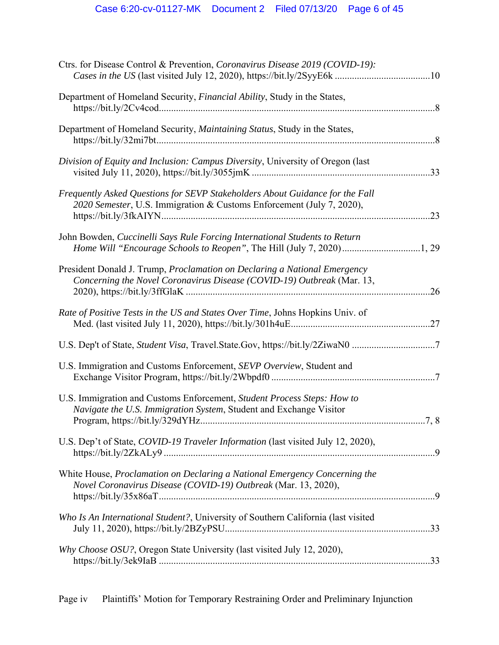| Ctrs. for Disease Control & Prevention, Coronavirus Disease 2019 (COVID-19):                                                                          |     |
|-------------------------------------------------------------------------------------------------------------------------------------------------------|-----|
| Department of Homeland Security, Financial Ability, Study in the States,                                                                              |     |
| Department of Homeland Security, Maintaining Status, Study in the States,                                                                             |     |
| Division of Equity and Inclusion: Campus Diversity, University of Oregon (last                                                                        |     |
| Frequently Asked Questions for SEVP Stakeholders About Guidance for the Fall<br>2020 Semester, U.S. Immigration & Customs Enforcement (July 7, 2020), | .23 |
| John Bowden, Cuccinelli Says Rule Forcing International Students to Return                                                                            |     |
| President Donald J. Trump, Proclamation on Declaring a National Emergency<br>Concerning the Novel Coronavirus Disease (COVID-19) Outbreak (Mar. 13,   | .26 |
| Rate of Positive Tests in the US and States Over Time, Johns Hopkins Univ. of                                                                         |     |
| U.S. Dep't of State, Student Visa, Travel.State.Gov, https://bit.ly/2ZiwaN0 7                                                                         |     |
| U.S. Immigration and Customs Enforcement, SEVP Overview, Student and                                                                                  |     |
| U.S. Immigration and Customs Enforcement, Student Process Steps: How to<br>Navigate the U.S. Immigration System, Student and Exchange Visitor         |     |
| U.S. Dep't of State, COVID-19 Traveler Information (last visited July 12, 2020),                                                                      |     |
| White House, Proclamation on Declaring a National Emergency Concerning the<br>Novel Coronavirus Disease (COVID-19) Outbreak (Mar. 13, 2020),          |     |
| Who Is An International Student?, University of Southern California (last visited                                                                     |     |
| Why Choose OSU?, Oregon State University (last visited July 12, 2020),                                                                                |     |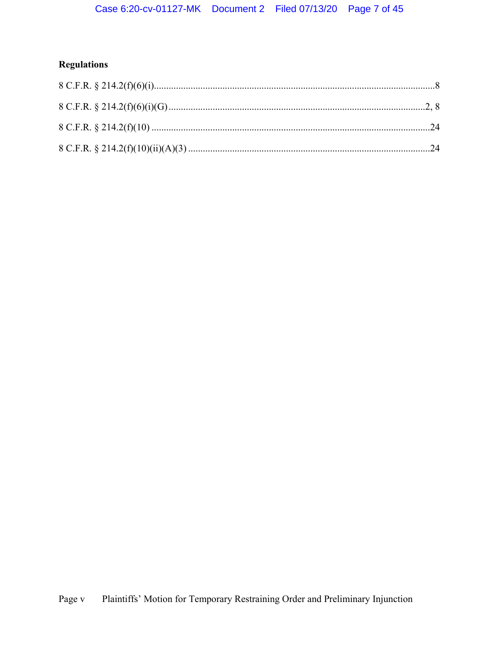# **Regulations**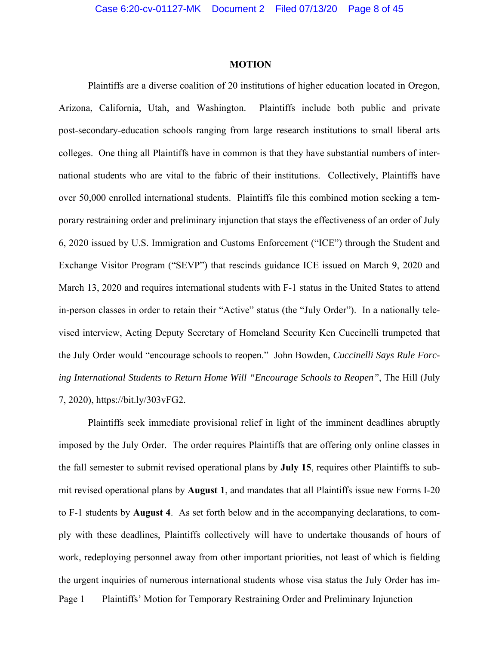#### **MOTION**

Plaintiffs are a diverse coalition of 20 institutions of higher education located in Oregon, Arizona, California, Utah, and Washington. Plaintiffs include both public and private post-secondary-education schools ranging from large research institutions to small liberal arts colleges. One thing all Plaintiffs have in common is that they have substantial numbers of international students who are vital to the fabric of their institutions. Collectively, Plaintiffs have over 50,000 enrolled international students. Plaintiffs file this combined motion seeking a temporary restraining order and preliminary injunction that stays the effectiveness of an order of July 6, 2020 issued by U.S. Immigration and Customs Enforcement ("ICE") through the Student and Exchange Visitor Program ("SEVP") that rescinds guidance ICE issued on March 9, 2020 and March 13, 2020 and requires international students with F-1 status in the United States to attend in-person classes in order to retain their "Active" status (the "July Order"). In a nationally televised interview, Acting Deputy Secretary of Homeland Security Ken Cuccinelli trumpeted that the July Order would "encourage schools to reopen." John Bowden, *Cuccinelli Says Rule Forcing International Students to Return Home Will "Encourage Schools to Reopen"*, The Hill (July 7, 2020), https://bit.ly/303vFG2.

Page 1 Plaintiffs' Motion for Temporary Restraining Order and Preliminary Injunction Plaintiffs seek immediate provisional relief in light of the imminent deadlines abruptly imposed by the July Order. The order requires Plaintiffs that are offering only online classes in the fall semester to submit revised operational plans by **July 15**, requires other Plaintiffs to submit revised operational plans by **August 1**, and mandates that all Plaintiffs issue new Forms I-20 to F-1 students by **August 4**. As set forth below and in the accompanying declarations, to comply with these deadlines, Plaintiffs collectively will have to undertake thousands of hours of work, redeploying personnel away from other important priorities, not least of which is fielding the urgent inquiries of numerous international students whose visa status the July Order has im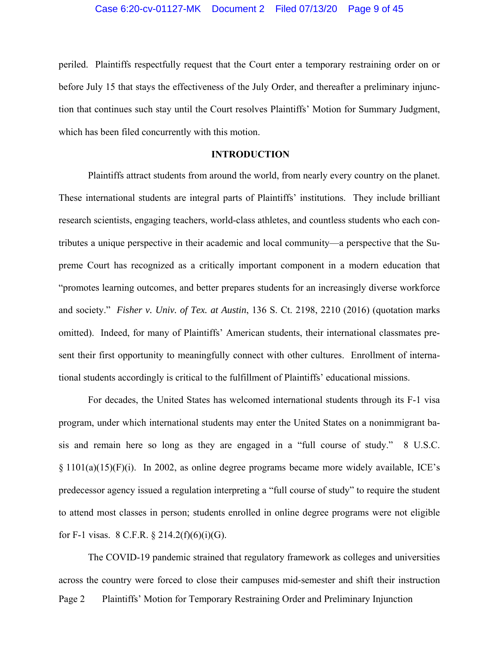periled. Plaintiffs respectfully request that the Court enter a temporary restraining order on or before July 15 that stays the effectiveness of the July Order, and thereafter a preliminary injunction that continues such stay until the Court resolves Plaintiffs' Motion for Summary Judgment, which has been filed concurrently with this motion.

#### **INTRODUCTION**

Plaintiffs attract students from around the world, from nearly every country on the planet. These international students are integral parts of Plaintiffs' institutions. They include brilliant research scientists, engaging teachers, world-class athletes, and countless students who each contributes a unique perspective in their academic and local community—a perspective that the Supreme Court has recognized as a critically important component in a modern education that "promotes learning outcomes, and better prepares students for an increasingly diverse workforce and society." *Fisher v. Univ. of Tex. at Austin*, 136 S. Ct. 2198, 2210 (2016) (quotation marks omitted). Indeed, for many of Plaintiffs' American students, their international classmates present their first opportunity to meaningfully connect with other cultures. Enrollment of international students accordingly is critical to the fulfillment of Plaintiffs' educational missions.

For decades, the United States has welcomed international students through its F-1 visa program, under which international students may enter the United States on a nonimmigrant basis and remain here so long as they are engaged in a "full course of study." 8 U.S.C. § 1101(a)(15)(F)(i). In 2002, as online degree programs became more widely available, ICE's predecessor agency issued a regulation interpreting a "full course of study" to require the student to attend most classes in person; students enrolled in online degree programs were not eligible for F-1 visas.  $8$  C.F.R.  $\S 214.2(f)(6)(i)(G)$ .

Page 2 Plaintiffs' Motion for Temporary Restraining Order and Preliminary Injunction The COVID-19 pandemic strained that regulatory framework as colleges and universities across the country were forced to close their campuses mid-semester and shift their instruction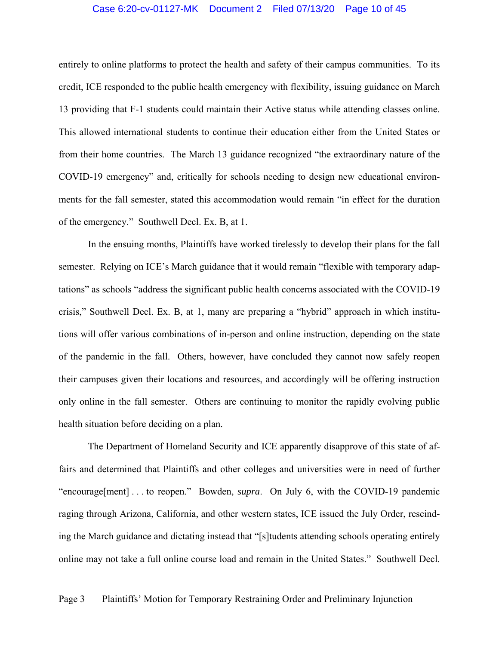#### Case 6:20-cv-01127-MK Document 2 Filed 07/13/20 Page 10 of 45

entirely to online platforms to protect the health and safety of their campus communities. To its credit, ICE responded to the public health emergency with flexibility, issuing guidance on March 13 providing that F-1 students could maintain their Active status while attending classes online. This allowed international students to continue their education either from the United States or from their home countries. The March 13 guidance recognized "the extraordinary nature of the COVID-19 emergency" and, critically for schools needing to design new educational environments for the fall semester, stated this accommodation would remain "in effect for the duration of the emergency." Southwell Decl. Ex. B, at 1.

In the ensuing months, Plaintiffs have worked tirelessly to develop their plans for the fall semester. Relying on ICE's March guidance that it would remain "flexible with temporary adaptations" as schools "address the significant public health concerns associated with the COVID-19 crisis," Southwell Decl. Ex. B, at 1, many are preparing a "hybrid" approach in which institutions will offer various combinations of in-person and online instruction, depending on the state of the pandemic in the fall. Others, however, have concluded they cannot now safely reopen their campuses given their locations and resources, and accordingly will be offering instruction only online in the fall semester. Others are continuing to monitor the rapidly evolving public health situation before deciding on a plan.

The Department of Homeland Security and ICE apparently disapprove of this state of affairs and determined that Plaintiffs and other colleges and universities were in need of further "encourage[ment] . . . to reopen." Bowden, *supra*. On July 6, with the COVID-19 pandemic raging through Arizona, California, and other western states, ICE issued the July Order, rescinding the March guidance and dictating instead that "[s]tudents attending schools operating entirely online may not take a full online course load and remain in the United States." Southwell Decl.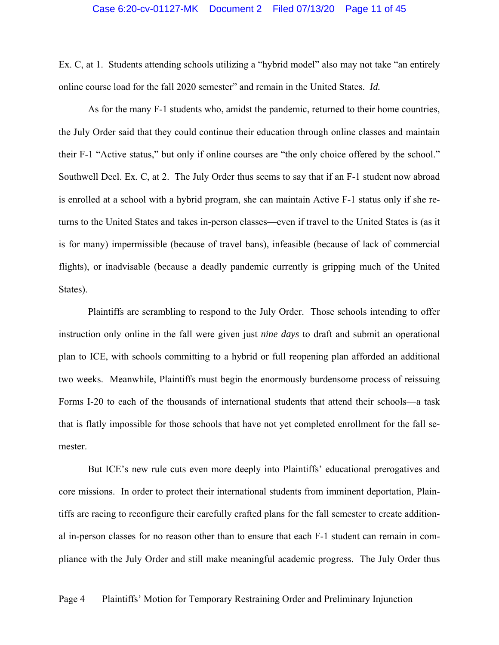#### Case 6:20-cv-01127-MK Document 2 Filed 07/13/20 Page 11 of 45

Ex. C, at 1. Students attending schools utilizing a "hybrid model" also may not take "an entirely online course load for the fall 2020 semester" and remain in the United States. *Id.*

As for the many F-1 students who, amidst the pandemic, returned to their home countries, the July Order said that they could continue their education through online classes and maintain their F-1 "Active status," but only if online courses are "the only choice offered by the school." Southwell Decl. Ex. C, at 2. The July Order thus seems to say that if an F-1 student now abroad is enrolled at a school with a hybrid program, she can maintain Active F-1 status only if she returns to the United States and takes in-person classes—even if travel to the United States is (as it is for many) impermissible (because of travel bans), infeasible (because of lack of commercial flights), or inadvisable (because a deadly pandemic currently is gripping much of the United States).

Plaintiffs are scrambling to respond to the July Order. Those schools intending to offer instruction only online in the fall were given just *nine days* to draft and submit an operational plan to ICE, with schools committing to a hybrid or full reopening plan afforded an additional two weeks. Meanwhile, Plaintiffs must begin the enormously burdensome process of reissuing Forms I-20 to each of the thousands of international students that attend their schools—a task that is flatly impossible for those schools that have not yet completed enrollment for the fall semester.

But ICE's new rule cuts even more deeply into Plaintiffs' educational prerogatives and core missions. In order to protect their international students from imminent deportation, Plaintiffs are racing to reconfigure their carefully crafted plans for the fall semester to create additional in-person classes for no reason other than to ensure that each F-1 student can remain in compliance with the July Order and still make meaningful academic progress. The July Order thus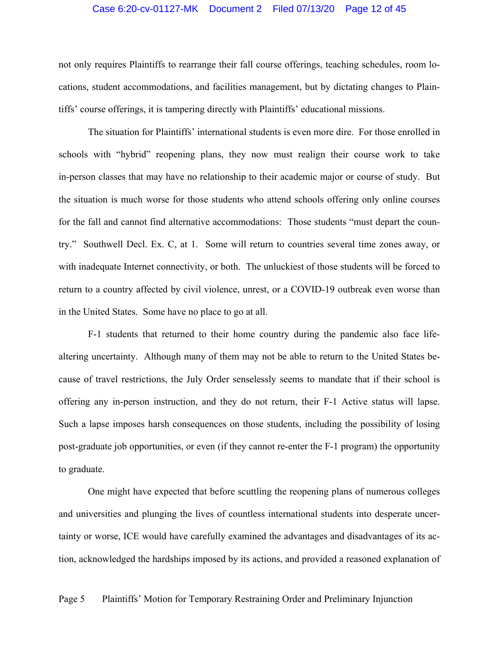#### Case 6:20-cv-01127-MK Document 2 Filed 07/13/20 Page 12 of 45

not only requires Plaintiffs to rearrange their fall course offerings, teaching schedules, room locations, student accommodations, and facilities management, but by dictating changes to Plaintiffs' course offerings, it is tampering directly with Plaintiffs' educational missions.

The situation for Plaintiffs' international students is even more dire. For those enrolled in schools with "hybrid" reopening plans, they now must realign their course work to take in-person classes that may have no relationship to their academic major or course of study. But the situation is much worse for those students who attend schools offering only online courses for the fall and cannot find alternative accommodations: Those students "must depart the country." Southwell Decl. Ex. C, at 1. Some will return to countries several time zones away, or with inadequate Internet connectivity, or both. The unluckiest of those students will be forced to return to a country affected by civil violence, unrest, or a COVID-19 outbreak even worse than in the United States. Some have no place to go at all.

F-1 students that returned to their home country during the pandemic also face lifealtering uncertainty. Although many of them may not be able to return to the United States because of travel restrictions, the July Order senselessly seems to mandate that if their school is offering any in-person instruction, and they do not return, their F-1 Active status will lapse. Such a lapse imposes harsh consequences on those students, including the possibility of losing post-graduate job opportunities, or even (if they cannot re-enter the F-1 program) the opportunity to graduate.

One might have expected that before scuttling the reopening plans of numerous colleges and universities and plunging the lives of countless international students into desperate uncertainty or worse, ICE would have carefully examined the advantages and disadvantages of its action, acknowledged the hardships imposed by its actions, and provided a reasoned explanation of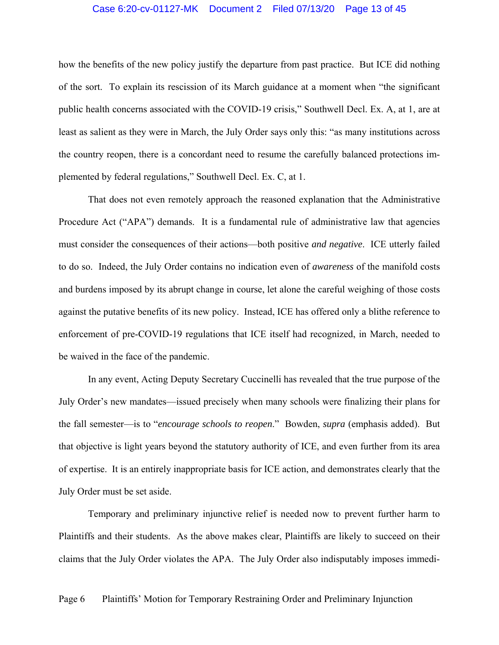#### Case 6:20-cv-01127-MK Document 2 Filed 07/13/20 Page 13 of 45

how the benefits of the new policy justify the departure from past practice. But ICE did nothing of the sort. To explain its rescission of its March guidance at a moment when "the significant public health concerns associated with the COVID-19 crisis," Southwell Decl. Ex. A, at 1, are at least as salient as they were in March, the July Order says only this: "as many institutions across the country reopen, there is a concordant need to resume the carefully balanced protections implemented by federal regulations," Southwell Decl. Ex. C, at 1.

That does not even remotely approach the reasoned explanation that the Administrative Procedure Act ("APA") demands. It is a fundamental rule of administrative law that agencies must consider the consequences of their actions—both positive *and negative*. ICE utterly failed to do so. Indeed, the July Order contains no indication even of *awareness* of the manifold costs and burdens imposed by its abrupt change in course, let alone the careful weighing of those costs against the putative benefits of its new policy. Instead, ICE has offered only a blithe reference to enforcement of pre-COVID-19 regulations that ICE itself had recognized, in March, needed to be waived in the face of the pandemic.

In any event, Acting Deputy Secretary Cuccinelli has revealed that the true purpose of the July Order's new mandates—issued precisely when many schools were finalizing their plans for the fall semester—is to "*encourage schools to reopen*." Bowden, *supra* (emphasis added). But that objective is light years beyond the statutory authority of ICE, and even further from its area of expertise. It is an entirely inappropriate basis for ICE action, and demonstrates clearly that the July Order must be set aside.

Temporary and preliminary injunctive relief is needed now to prevent further harm to Plaintiffs and their students. As the above makes clear, Plaintiffs are likely to succeed on their claims that the July Order violates the APA. The July Order also indisputably imposes immedi-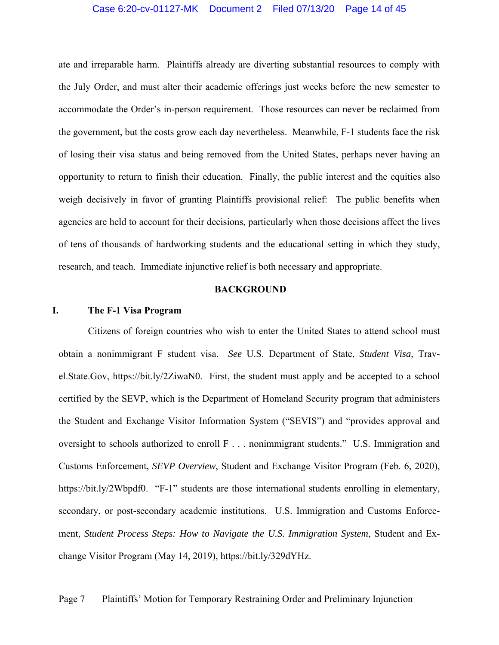#### Case 6:20-cv-01127-MK Document 2 Filed 07/13/20 Page 14 of 45

ate and irreparable harm. Plaintiffs already are diverting substantial resources to comply with the July Order, and must alter their academic offerings just weeks before the new semester to accommodate the Order's in-person requirement. Those resources can never be reclaimed from the government, but the costs grow each day nevertheless. Meanwhile, F-1 students face the risk of losing their visa status and being removed from the United States, perhaps never having an opportunity to return to finish their education. Finally, the public interest and the equities also weigh decisively in favor of granting Plaintiffs provisional relief: The public benefits when agencies are held to account for their decisions, particularly when those decisions affect the lives of tens of thousands of hardworking students and the educational setting in which they study, research, and teach. Immediate injunctive relief is both necessary and appropriate.

#### **BACKGROUND**

#### **I. The F-1 Visa Program**

Citizens of foreign countries who wish to enter the United States to attend school must obtain a nonimmigrant F student visa. *See* U.S. Department of State, *Student Visa*, Travel.State.Gov, https://bit.ly/2ZiwaN0. First, the student must apply and be accepted to a school certified by the SEVP, which is the Department of Homeland Security program that administers the Student and Exchange Visitor Information System ("SEVIS") and "provides approval and oversight to schools authorized to enroll F . . . nonimmigrant students." U.S. Immigration and Customs Enforcement, *SEVP Overview*, Student and Exchange Visitor Program (Feb. 6, 2020), https://bit.ly/2Wbpdf0. "F-1" students are those international students enrolling in elementary, secondary, or post-secondary academic institutions. U.S. Immigration and Customs Enforcement, *Student Process Steps: How to Navigate the U.S. Immigration System*, Student and Exchange Visitor Program (May 14, 2019), https://bit.ly/329dYHz.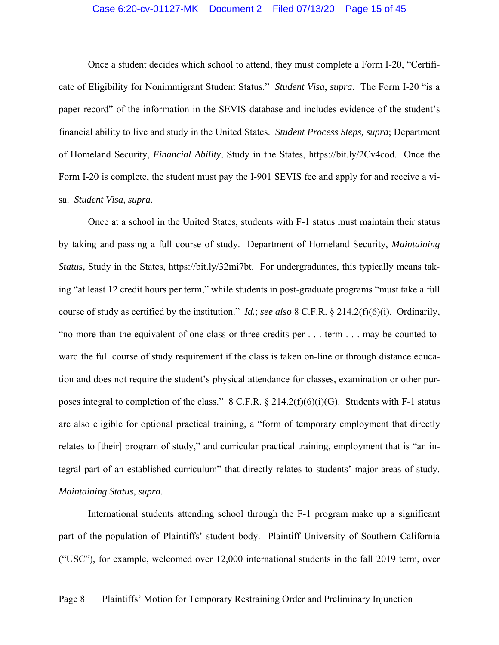#### Case 6:20-cv-01127-MK Document 2 Filed 07/13/20 Page 15 of 45

Once a student decides which school to attend, they must complete a Form I-20, "Certificate of Eligibility for Nonimmigrant Student Status." *Student Visa*, *supra*. The Form I-20 "is a paper record" of the information in the SEVIS database and includes evidence of the student's financial ability to live and study in the United States. *Student Process Steps, supra*; Department of Homeland Security, *Financial Ability*, Study in the States, https://bit.ly/2Cv4cod. Once the Form I-20 is complete, the student must pay the I-901 SEVIS fee and apply for and receive a visa. *Student Visa*, *supra*.

Once at a school in the United States, students with F-1 status must maintain their status by taking and passing a full course of study. Department of Homeland Security, *Maintaining Status*, Study in the States, https://bit.ly/32mi7bt. For undergraduates, this typically means taking "at least 12 credit hours per term," while students in post-graduate programs "must take a full course of study as certified by the institution." *Id.*; *see also* 8 C.F.R. § 214.2(f)(6)(i). Ordinarily, "no more than the equivalent of one class or three credits per . . . term . . . may be counted toward the full course of study requirement if the class is taken on-line or through distance education and does not require the student's physical attendance for classes, examination or other purposes integral to completion of the class." 8 C.F.R.  $\S 214.2(f)(6)(i)(G)$ . Students with F-1 status are also eligible for optional practical training, a "form of temporary employment that directly relates to [their] program of study," and curricular practical training, employment that is "an integral part of an established curriculum" that directly relates to students' major areas of study. *Maintaining Status*, *supra*.

International students attending school through the F-1 program make up a significant part of the population of Plaintiffs' student body. Plaintiff University of Southern California ("USC"), for example, welcomed over 12,000 international students in the fall 2019 term, over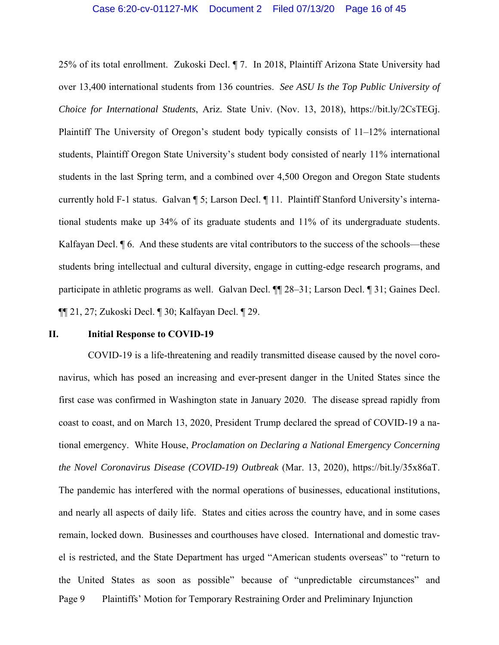#### Case 6:20-cv-01127-MK Document 2 Filed 07/13/20 Page 16 of 45

25% of its total enrollment. Zukoski Decl. ¶ 7. In 2018, Plaintiff Arizona State University had over 13,400 international students from 136 countries. *See ASU Is the Top Public University of Choice for International Students*, Ariz. State Univ. (Nov. 13, 2018), https://bit.ly/2CsTEGj. Plaintiff The University of Oregon's student body typically consists of 11–12% international students, Plaintiff Oregon State University's student body consisted of nearly 11% international students in the last Spring term, and a combined over 4,500 Oregon and Oregon State students currently hold F-1 status. Galvan ¶ 5; Larson Decl. ¶ 11. Plaintiff Stanford University's international students make up 34% of its graduate students and 11% of its undergraduate students. Kalfayan Decl.  $\lbrack \rbrack$  6. And these students are vital contributors to the success of the schools—these students bring intellectual and cultural diversity, engage in cutting-edge research programs, and participate in athletic programs as well. Galvan Decl. ¶¶ 28–31; Larson Decl. ¶ 31; Gaines Decl. ¶¶ 21, 27; Zukoski Decl. ¶ 30; Kalfayan Decl. ¶ 29.

#### **II. Initial Response to COVID-19**

Page 9 Plaintiffs' Motion for Temporary Restraining Order and Preliminary Injunction COVID-19 is a life-threatening and readily transmitted disease caused by the novel coronavirus, which has posed an increasing and ever-present danger in the United States since the first case was confirmed in Washington state in January 2020. The disease spread rapidly from coast to coast, and on March 13, 2020, President Trump declared the spread of COVID-19 a national emergency. White House, *Proclamation on Declaring a National Emergency Concerning the Novel Coronavirus Disease (COVID-19) Outbreak* (Mar. 13, 2020), https://bit.ly/35x86aT. The pandemic has interfered with the normal operations of businesses, educational institutions, and nearly all aspects of daily life. States and cities across the country have, and in some cases remain, locked down. Businesses and courthouses have closed. International and domestic travel is restricted, and the State Department has urged "American students overseas" to "return to the United States as soon as possible" because of "unpredictable circumstances" and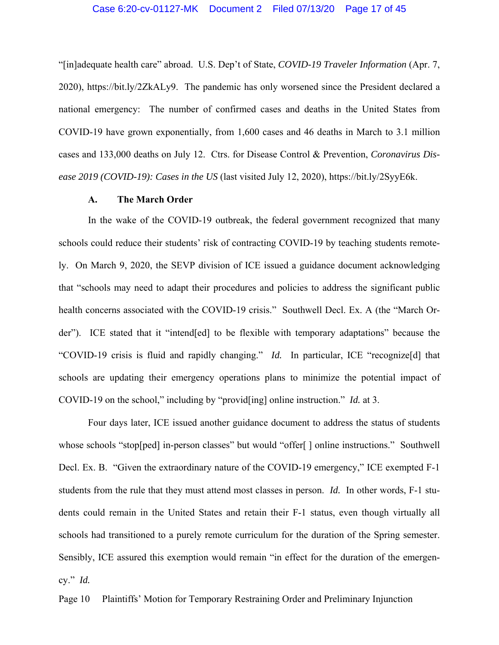"[in]adequate health care" abroad. U.S. Dep't of State, *COVID-19 Traveler Information* (Apr. 7, 2020), https://bit.ly/2ZkALy9. The pandemic has only worsened since the President declared a national emergency: The number of confirmed cases and deaths in the United States from COVID-19 have grown exponentially, from 1,600 cases and 46 deaths in March to 3.1 million cases and 133,000 deaths on July 12. Ctrs. for Disease Control & Prevention, *Coronavirus Disease 2019 (COVID-19): Cases in the US* (last visited July 12, 2020), https://bit.ly/2SyyE6k.

#### **A. The March Order**

In the wake of the COVID-19 outbreak, the federal government recognized that many schools could reduce their students' risk of contracting COVID-19 by teaching students remotely. On March 9, 2020, the SEVP division of ICE issued a guidance document acknowledging that "schools may need to adapt their procedures and policies to address the significant public health concerns associated with the COVID-19 crisis." Southwell Decl. Ex. A (the "March Order"). ICE stated that it "intend[ed] to be flexible with temporary adaptations" because the "COVID-19 crisis is fluid and rapidly changing." *Id.* In particular, ICE "recognize[d] that schools are updating their emergency operations plans to minimize the potential impact of COVID-19 on the school," including by "provid[ing] online instruction." *Id.* at 3.

Four days later, ICE issued another guidance document to address the status of students whose schools "stop[ped] in-person classes" but would "offer[] online instructions." Southwell Decl. Ex. B. "Given the extraordinary nature of the COVID-19 emergency," ICE exempted F-1 students from the rule that they must attend most classes in person. *Id.* In other words, F-1 students could remain in the United States and retain their F-1 status, even though virtually all schools had transitioned to a purely remote curriculum for the duration of the Spring semester. Sensibly, ICE assured this exemption would remain "in effect for the duration of the emergency." *Id.*

Page 10 Plaintiffs' Motion for Temporary Restraining Order and Preliminary Injunction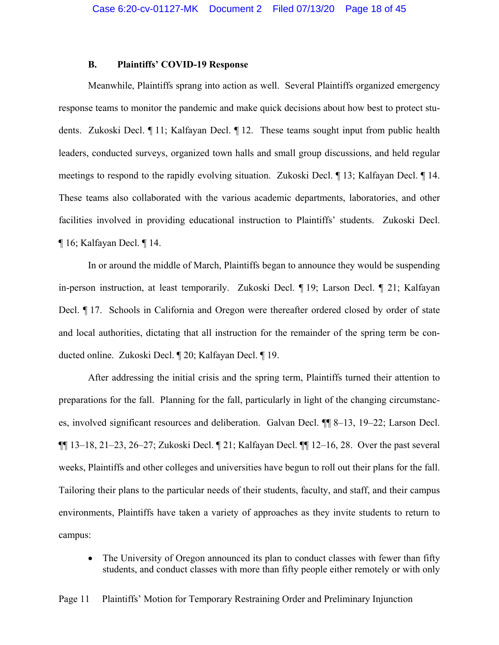#### **B. Plaintiffs' COVID-19 Response**

Meanwhile, Plaintiffs sprang into action as well. Several Plaintiffs organized emergency response teams to monitor the pandemic and make quick decisions about how best to protect students. Zukoski Decl. ¶ 11; Kalfayan Decl. ¶ 12. These teams sought input from public health leaders, conducted surveys, organized town halls and small group discussions, and held regular meetings to respond to the rapidly evolving situation. Zukoski Decl. ¶ 13; Kalfayan Decl. ¶ 14. These teams also collaborated with the various academic departments, laboratories, and other facilities involved in providing educational instruction to Plaintiffs' students. Zukoski Decl. ¶ 16; Kalfayan Decl. ¶ 14.

In or around the middle of March, Plaintiffs began to announce they would be suspending in-person instruction, at least temporarily. Zukoski Decl. ¶ 19; Larson Decl. ¶ 21; Kalfayan Decl.  $\parallel$  17. Schools in California and Oregon were thereafter ordered closed by order of state and local authorities, dictating that all instruction for the remainder of the spring term be conducted online. Zukoski Decl. ¶ 20; Kalfayan Decl. ¶ 19.

After addressing the initial crisis and the spring term, Plaintiffs turned their attention to preparations for the fall. Planning for the fall, particularly in light of the changing circumstances, involved significant resources and deliberation. Galvan Decl. ¶¶ 8–13, 19–22; Larson Decl. ¶¶ 13–18, 21–23, 26–27; Zukoski Decl. ¶ 21; Kalfayan Decl. ¶¶ 12–16, 28. Over the past several weeks, Plaintiffs and other colleges and universities have begun to roll out their plans for the fall. Tailoring their plans to the particular needs of their students, faculty, and staff, and their campus environments, Plaintiffs have taken a variety of approaches as they invite students to return to campus:

• The University of Oregon announced its plan to conduct classes with fewer than fifty students, and conduct classes with more than fifty people either remotely or with only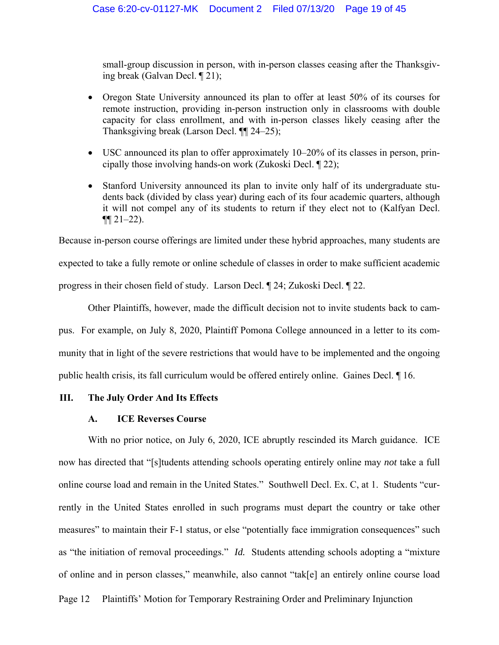small-group discussion in person, with in-person classes ceasing after the Thanksgiving break (Galvan Decl. ¶ 21);

- Oregon State University announced its plan to offer at least 50% of its courses for remote instruction, providing in-person instruction only in classrooms with double capacity for class enrollment, and with in-person classes likely ceasing after the Thanksgiving break (Larson Decl. ¶¶ 24–25);
- USC announced its plan to offer approximately 10–20% of its classes in person, principally those involving hands-on work (Zukoski Decl. ¶ 22);
- Stanford University announced its plan to invite only half of its undergraduate students back (divided by class year) during each of its four academic quarters, although it will not compel any of its students to return if they elect not to (Kalfyan Decl.  $\P\P 21 - 22$ ).

Because in-person course offerings are limited under these hybrid approaches, many students are expected to take a fully remote or online schedule of classes in order to make sufficient academic progress in their chosen field of study. Larson Decl. ¶ 24; Zukoski Decl. ¶ 22.

Other Plaintiffs, however, made the difficult decision not to invite students back to campus. For example, on July 8, 2020, Plaintiff Pomona College announced in a letter to its community that in light of the severe restrictions that would have to be implemented and the ongoing public health crisis, its fall curriculum would be offered entirely online. Gaines Decl. ¶ 16.

#### **III. The July Order And Its Effects**

#### **A. ICE Reverses Course**

With no prior notice, on July 6, 2020, ICE abruptly rescinded its March guidance. ICE now has directed that "[s]tudents attending schools operating entirely online may *not* take a full online course load and remain in the United States." Southwell Decl. Ex. C, at 1. Students "currently in the United States enrolled in such programs must depart the country or take other measures" to maintain their F-1 status, or else "potentially face immigration consequences" such as "the initiation of removal proceedings." *Id.* Students attending schools adopting a "mixture of online and in person classes," meanwhile, also cannot "tak[e] an entirely online course load

Page 12 Plaintiffs' Motion for Temporary Restraining Order and Preliminary Injunction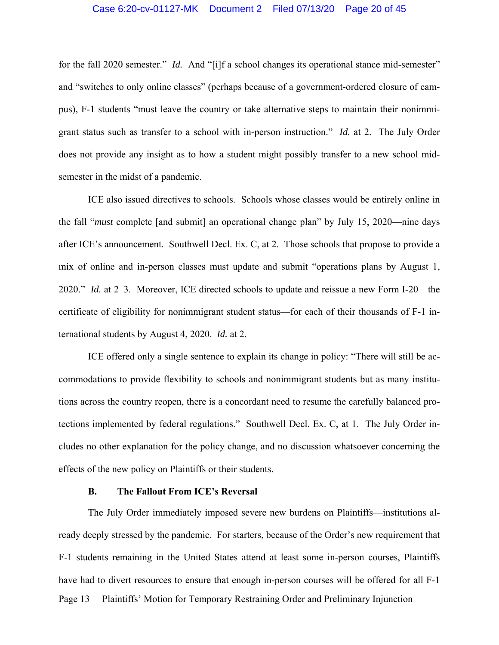#### Case 6:20-cv-01127-MK Document 2 Filed 07/13/20 Page 20 of 45

for the fall 2020 semester." *Id.* And "[i]f a school changes its operational stance mid-semester" and "switches to only online classes" (perhaps because of a government-ordered closure of campus), F-1 students "must leave the country or take alternative steps to maintain their nonimmigrant status such as transfer to a school with in-person instruction." *Id.* at 2. The July Order does not provide any insight as to how a student might possibly transfer to a new school midsemester in the midst of a pandemic.

ICE also issued directives to schools. Schools whose classes would be entirely online in the fall "*must* complete [and submit] an operational change plan" by July 15, 2020—nine days after ICE's announcement. Southwell Decl. Ex. C, at 2. Those schools that propose to provide a mix of online and in-person classes must update and submit "operations plans by August 1, 2020." *Id.* at 2–3. Moreover, ICE directed schools to update and reissue a new Form I-20—the certificate of eligibility for nonimmigrant student status—for each of their thousands of F-1 international students by August 4, 2020. *Id.* at 2.

ICE offered only a single sentence to explain its change in policy: "There will still be accommodations to provide flexibility to schools and nonimmigrant students but as many institutions across the country reopen, there is a concordant need to resume the carefully balanced protections implemented by federal regulations." Southwell Decl. Ex. C, at 1. The July Order includes no other explanation for the policy change, and no discussion whatsoever concerning the effects of the new policy on Plaintiffs or their students.

#### **B. The Fallout From ICE's Reversal**

Page 13 Plaintiffs' Motion for Temporary Restraining Order and Preliminary Injunction The July Order immediately imposed severe new burdens on Plaintiffs—institutions already deeply stressed by the pandemic. For starters, because of the Order's new requirement that F-1 students remaining in the United States attend at least some in-person courses, Plaintiffs have had to divert resources to ensure that enough in-person courses will be offered for all F-1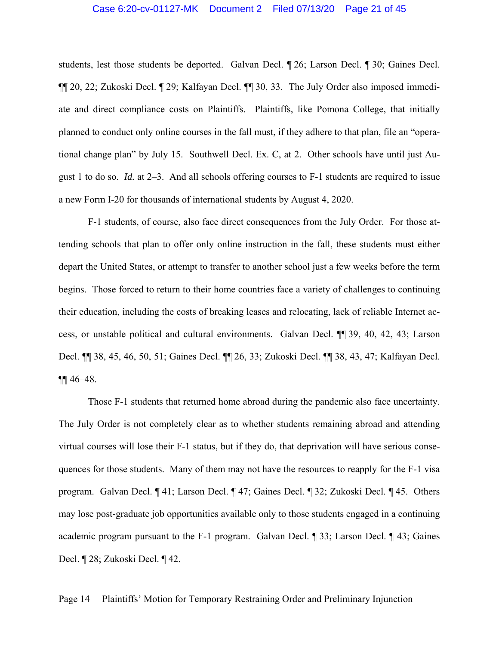#### Case 6:20-cv-01127-MK Document 2 Filed 07/13/20 Page 21 of 45

students, lest those students be deported. Galvan Decl. ¶ 26; Larson Decl. ¶ 30; Gaines Decl. ¶¶ 20, 22; Zukoski Decl. ¶ 29; Kalfayan Decl. ¶¶ 30, 33. The July Order also imposed immediate and direct compliance costs on Plaintiffs. Plaintiffs, like Pomona College, that initially planned to conduct only online courses in the fall must, if they adhere to that plan, file an "operational change plan" by July 15. Southwell Decl. Ex. C, at 2. Other schools have until just August 1 to do so. *Id.* at 2–3. And all schools offering courses to F-1 students are required to issue a new Form I-20 for thousands of international students by August 4, 2020.

F-1 students, of course, also face direct consequences from the July Order. For those attending schools that plan to offer only online instruction in the fall, these students must either depart the United States, or attempt to transfer to another school just a few weeks before the term begins. Those forced to return to their home countries face a variety of challenges to continuing their education, including the costs of breaking leases and relocating, lack of reliable Internet access, or unstable political and cultural environments. Galvan Decl. ¶¶ 39, 40, 42, 43; Larson Decl. ¶¶ 38, 45, 46, 50, 51; Gaines Decl. ¶¶ 26, 33; Zukoski Decl. ¶¶ 38, 43, 47; Kalfayan Decl.  $\P\P$  46–48.

 Those F-1 students that returned home abroad during the pandemic also face uncertainty. The July Order is not completely clear as to whether students remaining abroad and attending virtual courses will lose their F-1 status, but if they do, that deprivation will have serious consequences for those students. Many of them may not have the resources to reapply for the F-1 visa program. Galvan Decl. ¶ 41; Larson Decl. ¶ 47; Gaines Decl. ¶ 32; Zukoski Decl. ¶ 45. Others may lose post-graduate job opportunities available only to those students engaged in a continuing academic program pursuant to the F-1 program. Galvan Decl. ¶ 33; Larson Decl. ¶ 43; Gaines Decl. ¶ 28; Zukoski Decl. ¶ 42.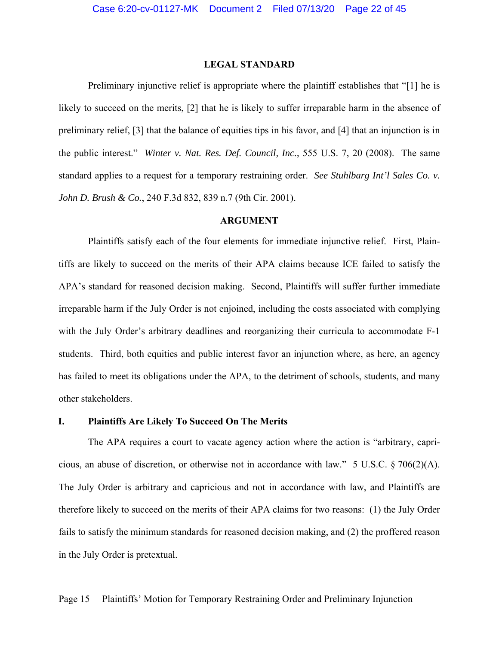#### **LEGAL STANDARD**

Preliminary injunctive relief is appropriate where the plaintiff establishes that "[1] he is likely to succeed on the merits, [2] that he is likely to suffer irreparable harm in the absence of preliminary relief, [3] that the balance of equities tips in his favor, and [4] that an injunction is in the public interest." *Winter v. Nat. Res. Def. Council, Inc.*, 555 U.S. 7, 20 (2008). The same standard applies to a request for a temporary restraining order. *See Stuhlbarg Int'l Sales Co. v. John D. Brush & Co.*, 240 F.3d 832, 839 n.7 (9th Cir. 2001).

#### **ARGUMENT**

Plaintiffs satisfy each of the four elements for immediate injunctive relief. First, Plaintiffs are likely to succeed on the merits of their APA claims because ICE failed to satisfy the APA's standard for reasoned decision making. Second, Plaintiffs will suffer further immediate irreparable harm if the July Order is not enjoined, including the costs associated with complying with the July Order's arbitrary deadlines and reorganizing their curricula to accommodate F-1 students. Third, both equities and public interest favor an injunction where, as here, an agency has failed to meet its obligations under the APA, to the detriment of schools, students, and many other stakeholders.

#### **I. Plaintiffs Are Likely To Succeed On The Merits**

The APA requires a court to vacate agency action where the action is "arbitrary, capricious, an abuse of discretion, or otherwise not in accordance with law." 5 U.S.C. § 706(2)(A). The July Order is arbitrary and capricious and not in accordance with law, and Plaintiffs are therefore likely to succeed on the merits of their APA claims for two reasons: (1) the July Order fails to satisfy the minimum standards for reasoned decision making, and (2) the proffered reason in the July Order is pretextual.

#### Page 15 Plaintiffs' Motion for Temporary Restraining Order and Preliminary Injunction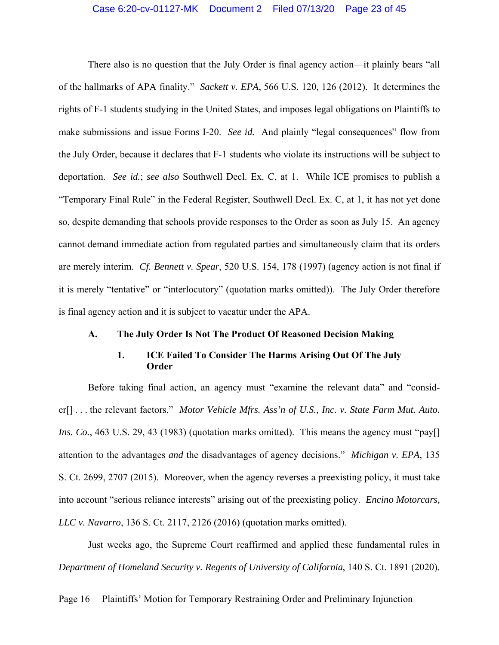There also is no question that the July Order is final agency action—it plainly bears "all of the hallmarks of APA finality." *Sackett v. EPA*, 566 U.S. 120, 126 (2012). It determines the rights of F-1 students studying in the United States, and imposes legal obligations on Plaintiffs to make submissions and issue Forms I-20. *See id.* And plainly "legal consequences" flow from the July Order, because it declares that F-1 students who violate its instructions will be subject to deportation. *See id.*; *see also* Southwell Decl. Ex. C, at 1. While ICE promises to publish a "Temporary Final Rule" in the Federal Register, Southwell Decl. Ex. C, at 1, it has not yet done so, despite demanding that schools provide responses to the Order as soon as July 15. An agency cannot demand immediate action from regulated parties and simultaneously claim that its orders are merely interim. *Cf. Bennett v. Spear*, 520 U.S. 154, 178 (1997) (agency action is not final if it is merely "tentative" or "interlocutory" (quotation marks omitted)).The July Order therefore is final agency action and it is subject to vacatur under the APA.

#### **A. The July Order Is Not The Product Of Reasoned Decision Making**

#### **1. ICE Failed To Consider The Harms Arising Out Of The July Order**

Before taking final action, an agency must "examine the relevant data" and "consider[] . . . the relevant factors." *Motor Vehicle Mfrs. Ass'n of U.S., Inc. v. State Farm Mut. Auto. Ins. Co.*, 463 U.S. 29, 43 (1983) (quotation marks omitted). This means the agency must "pay attention to the advantages *and* the disadvantages of agency decisions." *Michigan v. EPA*, 135 S. Ct. 2699, 2707 (2015). Moreover, when the agency reverses a preexisting policy, it must take into account "serious reliance interests" arising out of the preexisting policy. *Encino Motorcars, LLC v. Navarro*, 136 S. Ct. 2117, 2126 (2016) (quotation marks omitted).

Just weeks ago, the Supreme Court reaffirmed and applied these fundamental rules in *Department of Homeland Security v. Regents of University of California*, 140 S. Ct. 1891 (2020).

Page 16 Plaintiffs' Motion for Temporary Restraining Order and Preliminary Injunction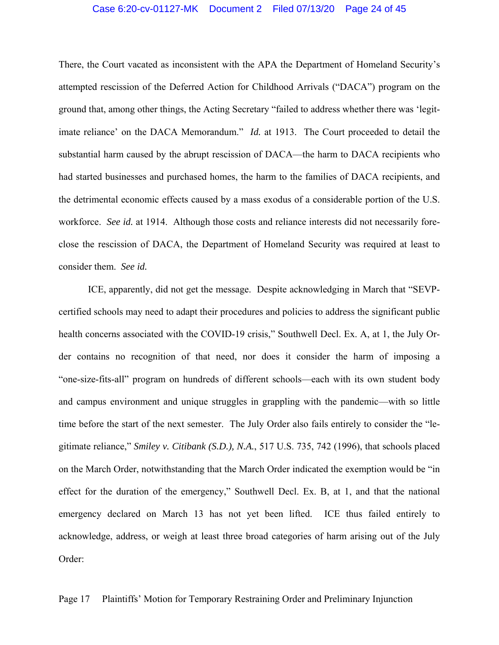#### Case 6:20-cv-01127-MK Document 2 Filed 07/13/20 Page 24 of 45

There, the Court vacated as inconsistent with the APA the Department of Homeland Security's attempted rescission of the Deferred Action for Childhood Arrivals ("DACA") program on the ground that, among other things, the Acting Secretary "failed to address whether there was 'legitimate reliance' on the DACA Memorandum." *Id.* at 1913. The Court proceeded to detail the substantial harm caused by the abrupt rescission of DACA—the harm to DACA recipients who had started businesses and purchased homes, the harm to the families of DACA recipients, and the detrimental economic effects caused by a mass exodus of a considerable portion of the U.S. workforce. *See id.* at 1914. Although those costs and reliance interests did not necessarily foreclose the rescission of DACA, the Department of Homeland Security was required at least to consider them. *See id.*

ICE, apparently, did not get the message. Despite acknowledging in March that "SEVPcertified schools may need to adapt their procedures and policies to address the significant public health concerns associated with the COVID-19 crisis," Southwell Decl. Ex. A, at 1, the July Order contains no recognition of that need, nor does it consider the harm of imposing a "one-size-fits-all" program on hundreds of different schools—each with its own student body and campus environment and unique struggles in grappling with the pandemic—with so little time before the start of the next semester. The July Order also fails entirely to consider the "legitimate reliance," *Smiley v. Citibank (S.D.), N.A.*, 517 U.S. 735, 742 (1996), that schools placed on the March Order, notwithstanding that the March Order indicated the exemption would be "in effect for the duration of the emergency," Southwell Decl. Ex. B, at 1, and that the national emergency declared on March 13 has not yet been lifted. ICE thus failed entirely to acknowledge, address, or weigh at least three broad categories of harm arising out of the July Order: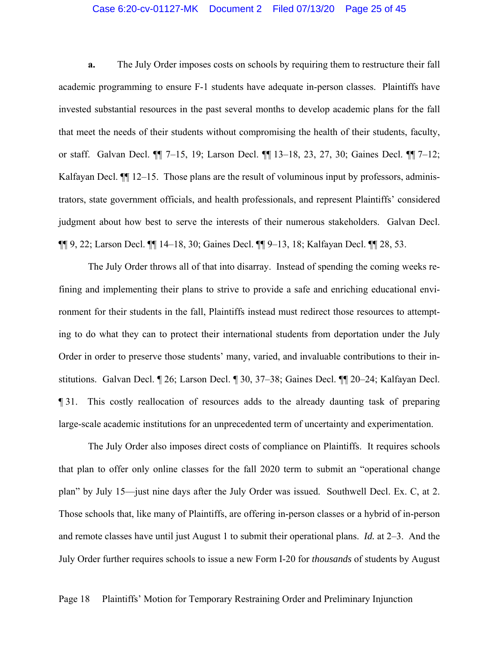#### Case 6:20-cv-01127-MK Document 2 Filed 07/13/20 Page 25 of 45

**a.** The July Order imposes costs on schools by requiring them to restructure their fall academic programming to ensure F-1 students have adequate in-person classes. Plaintiffs have invested substantial resources in the past several months to develop academic plans for the fall that meet the needs of their students without compromising the health of their students, faculty, or staff. Galvan Decl. ¶¶ 7–15, 19; Larson Decl. ¶¶ 13–18, 23, 27, 30; Gaines Decl. ¶¶ 7–12; Kalfayan Decl.  $\P$  12–15. Those plans are the result of voluminous input by professors, administrators, state government officials, and health professionals, and represent Plaintiffs' considered judgment about how best to serve the interests of their numerous stakeholders. Galvan Decl. ¶¶ 9, 22; Larson Decl. ¶¶ 14–18, 30; Gaines Decl. ¶¶ 9–13, 18; Kalfayan Decl. ¶¶ 28, 53.

The July Order throws all of that into disarray. Instead of spending the coming weeks refining and implementing their plans to strive to provide a safe and enriching educational environment for their students in the fall, Plaintiffs instead must redirect those resources to attempting to do what they can to protect their international students from deportation under the July Order in order to preserve those students' many, varied, and invaluable contributions to their institutions. Galvan Decl. ¶ 26; Larson Decl. ¶ 30, 37–38; Gaines Decl. ¶¶ 20–24; Kalfayan Decl. ¶ 31. This costly reallocation of resources adds to the already daunting task of preparing large-scale academic institutions for an unprecedented term of uncertainty and experimentation.

The July Order also imposes direct costs of compliance on Plaintiffs. It requires schools that plan to offer only online classes for the fall 2020 term to submit an "operational change plan" by July 15—just nine days after the July Order was issued. Southwell Decl. Ex. C, at 2. Those schools that, like many of Plaintiffs, are offering in-person classes or a hybrid of in-person and remote classes have until just August 1 to submit their operational plans. *Id.* at 2–3. And the July Order further requires schools to issue a new Form I-20 for *thousands* of students by August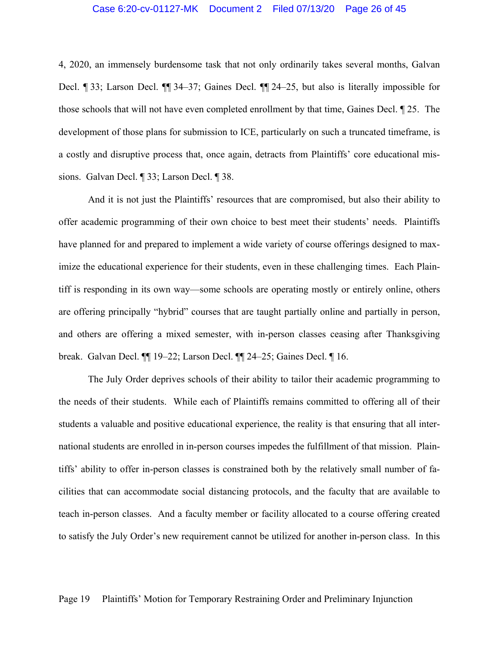#### Case 6:20-cv-01127-MK Document 2 Filed 07/13/20 Page 26 of 45

4, 2020, an immensely burdensome task that not only ordinarily takes several months, Galvan Decl. ¶ 33; Larson Decl. ¶¶ 34–37; Gaines Decl. ¶¶ 24–25, but also is literally impossible for those schools that will not have even completed enrollment by that time, Gaines Decl. ¶ 25. The development of those plans for submission to ICE, particularly on such a truncated timeframe, is a costly and disruptive process that, once again, detracts from Plaintiffs' core educational missions. Galvan Decl. ¶ 33; Larson Decl. ¶ 38.

And it is not just the Plaintiffs' resources that are compromised, but also their ability to offer academic programming of their own choice to best meet their students' needs. Plaintiffs have planned for and prepared to implement a wide variety of course offerings designed to maximize the educational experience for their students, even in these challenging times. Each Plaintiff is responding in its own way—some schools are operating mostly or entirely online, others are offering principally "hybrid" courses that are taught partially online and partially in person, and others are offering a mixed semester, with in-person classes ceasing after Thanksgiving break. Galvan Decl. ¶¶ 19–22; Larson Decl. ¶¶ 24–25; Gaines Decl. ¶ 16.

The July Order deprives schools of their ability to tailor their academic programming to the needs of their students. While each of Plaintiffs remains committed to offering all of their students a valuable and positive educational experience, the reality is that ensuring that all international students are enrolled in in-person courses impedes the fulfillment of that mission. Plaintiffs' ability to offer in-person classes is constrained both by the relatively small number of facilities that can accommodate social distancing protocols, and the faculty that are available to teach in-person classes. And a faculty member or facility allocated to a course offering created to satisfy the July Order's new requirement cannot be utilized for another in-person class. In this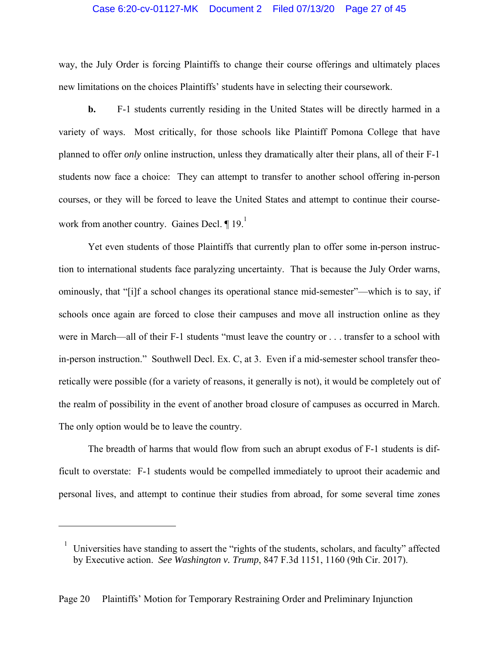#### Case 6:20-cv-01127-MK Document 2 Filed 07/13/20 Page 27 of 45

way, the July Order is forcing Plaintiffs to change their course offerings and ultimately places new limitations on the choices Plaintiffs' students have in selecting their coursework.

**b.** F-1 students currently residing in the United States will be directly harmed in a variety of ways. Most critically, for those schools like Plaintiff Pomona College that have planned to offer *only* online instruction, unless they dramatically alter their plans, all of their F-1 students now face a choice: They can attempt to transfer to another school offering in-person courses, or they will be forced to leave the United States and attempt to continue their coursework from another country. Gaines Decl.  $\P$  19.

Yet even students of those Plaintiffs that currently plan to offer some in-person instruction to international students face paralyzing uncertainty. That is because the July Order warns, ominously, that "[i]f a school changes its operational stance mid-semester"—which is to say, if schools once again are forced to close their campuses and move all instruction online as they were in March—all of their F-1 students "must leave the country or . . . transfer to a school with in-person instruction." Southwell Decl. Ex. C, at 3. Even if a mid-semester school transfer theoretically were possible (for a variety of reasons, it generally is not), it would be completely out of the realm of possibility in the event of another broad closure of campuses as occurred in March. The only option would be to leave the country.

The breadth of harms that would flow from such an abrupt exodus of F-1 students is difficult to overstate: F-1 students would be compelled immediately to uproot their academic and personal lives, and attempt to continue their studies from abroad, for some several time zones

1

<sup>1</sup> Universities have standing to assert the "rights of the students, scholars, and faculty" affected by Executive action. *See Washington v. Trump*, 847 F.3d 1151, 1160 (9th Cir. 2017).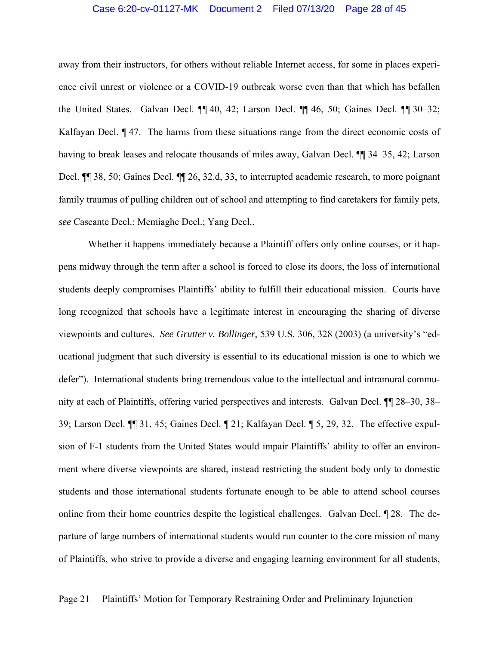#### Case 6:20-cv-01127-MK Document 2 Filed 07/13/20 Page 28 of 45

away from their instructors, for others without reliable Internet access, for some in places experience civil unrest or violence or a COVID-19 outbreak worse even than that which has befallen the United States. Galvan Decl. ¶¶ 40, 42; Larson Decl. ¶¶ 46, 50; Gaines Decl. ¶¶ 30–32; Kalfayan Decl. ¶ 47. The harms from these situations range from the direct economic costs of having to break leases and relocate thousands of miles away, Galvan Decl. ¶¶ 34–35, 42; Larson Decl. ¶¶ 38, 50; Gaines Decl. ¶¶ 26, 32.d, 33, to interrupted academic research, to more poignant family traumas of pulling children out of school and attempting to find caretakers for family pets, *see* Cascante Decl.; Memiaghe Decl.; Yang Decl..

Whether it happens immediately because a Plaintiff offers only online courses, or it happens midway through the term after a school is forced to close its doors, the loss of international students deeply compromises Plaintiffs' ability to fulfill their educational mission. Courts have long recognized that schools have a legitimate interest in encouraging the sharing of diverse viewpoints and cultures. *See Grutter v. Bollinger*, 539 U.S. 306, 328 (2003) (a university's "educational judgment that such diversity is essential to its educational mission is one to which we defer"). International students bring tremendous value to the intellectual and intramural community at each of Plaintiffs, offering varied perspectives and interests. Galvan Decl. ¶¶ 28–30, 38– 39; Larson Decl. ¶¶ 31, 45; Gaines Decl. ¶ 21; Kalfayan Decl. ¶ 5, 29, 32. The effective expulsion of F-1 students from the United States would impair Plaintiffs' ability to offer an environment where diverse viewpoints are shared, instead restricting the student body only to domestic students and those international students fortunate enough to be able to attend school courses online from their home countries despite the logistical challenges. Galvan Decl. ¶ 28. The departure of large numbers of international students would run counter to the core mission of many of Plaintiffs, who strive to provide a diverse and engaging learning environment for all students,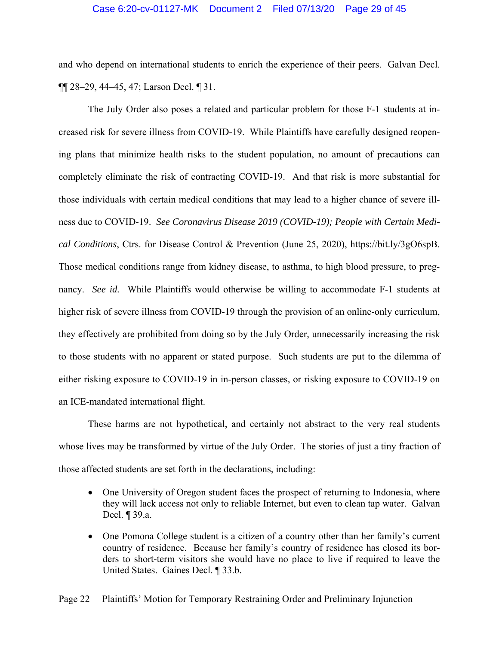#### Case 6:20-cv-01127-MK Document 2 Filed 07/13/20 Page 29 of 45

and who depend on international students to enrich the experience of their peers. Galvan Decl. ¶¶ 28–29, 44–45, 47; Larson Decl. ¶ 31.

The July Order also poses a related and particular problem for those F-1 students at increased risk for severe illness from COVID-19. While Plaintiffs have carefully designed reopening plans that minimize health risks to the student population, no amount of precautions can completely eliminate the risk of contracting COVID-19. And that risk is more substantial for those individuals with certain medical conditions that may lead to a higher chance of severe illness due to COVID-19. *See Coronavirus Disease 2019 (COVID-19); People with Certain Medical Conditions*, Ctrs. for Disease Control & Prevention (June 25, 2020), https://bit.ly/3gO6spB. Those medical conditions range from kidney disease, to asthma, to high blood pressure, to pregnancy. *See id.* While Plaintiffs would otherwise be willing to accommodate F-1 students at higher risk of severe illness from COVID-19 through the provision of an online-only curriculum, they effectively are prohibited from doing so by the July Order, unnecessarily increasing the risk to those students with no apparent or stated purpose. Such students are put to the dilemma of either risking exposure to COVID-19 in in-person classes, or risking exposure to COVID-19 on an ICE-mandated international flight.

These harms are not hypothetical, and certainly not abstract to the very real students whose lives may be transformed by virtue of the July Order. The stories of just a tiny fraction of those affected students are set forth in the declarations, including:

- One University of Oregon student faces the prospect of returning to Indonesia, where they will lack access not only to reliable Internet, but even to clean tap water. Galvan Decl. ¶ 39.a.
- One Pomona College student is a citizen of a country other than her family's current country of residence. Because her family's country of residence has closed its borders to short-term visitors she would have no place to live if required to leave the United States. Gaines Decl. ¶ 33.b.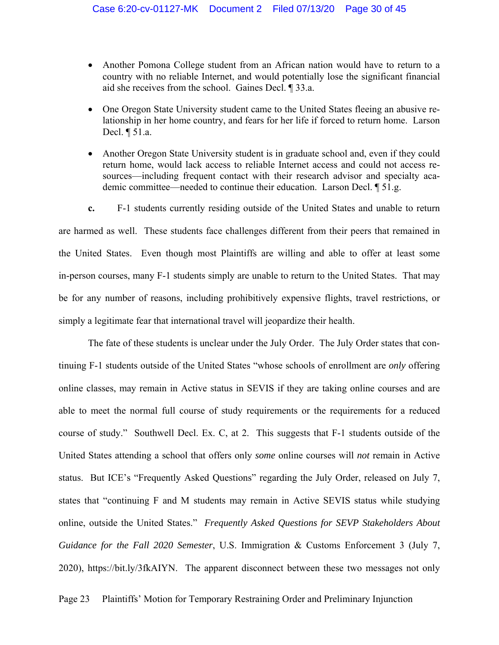- Another Pomona College student from an African nation would have to return to a country with no reliable Internet, and would potentially lose the significant financial aid she receives from the school. Gaines Decl. ¶ 33.a.
- One Oregon State University student came to the United States fleeing an abusive relationship in her home country, and fears for her life if forced to return home. Larson Decl. ¶ 51.a.
- Another Oregon State University student is in graduate school and, even if they could return home, would lack access to reliable Internet access and could not access resources—including frequent contact with their research advisor and specialty academic committee—needed to continue their education. Larson Decl. ¶ 51.g.
- **c.** F-1 students currently residing outside of the United States and unable to return

are harmed as well. These students face challenges different from their peers that remained in the United States. Even though most Plaintiffs are willing and able to offer at least some in-person courses, many F-1 students simply are unable to return to the United States. That may be for any number of reasons, including prohibitively expensive flights, travel restrictions, or simply a legitimate fear that international travel will jeopardize their health.

The fate of these students is unclear under the July Order. The July Order states that continuing F-1 students outside of the United States "whose schools of enrollment are *only* offering online classes, may remain in Active status in SEVIS if they are taking online courses and are able to meet the normal full course of study requirements or the requirements for a reduced course of study." Southwell Decl. Ex. C, at 2. This suggests that F-1 students outside of the United States attending a school that offers only *some* online courses will *not* remain in Active status. But ICE's "Frequently Asked Questions" regarding the July Order, released on July 7, states that "continuing F and M students may remain in Active SEVIS status while studying online, outside the United States." *Frequently Asked Questions for SEVP Stakeholders About Guidance for the Fall 2020 Semester*, U.S. Immigration & Customs Enforcement 3 (July 7, 2020), https://bit.ly/3fkAIYN. The apparent disconnect between these two messages not only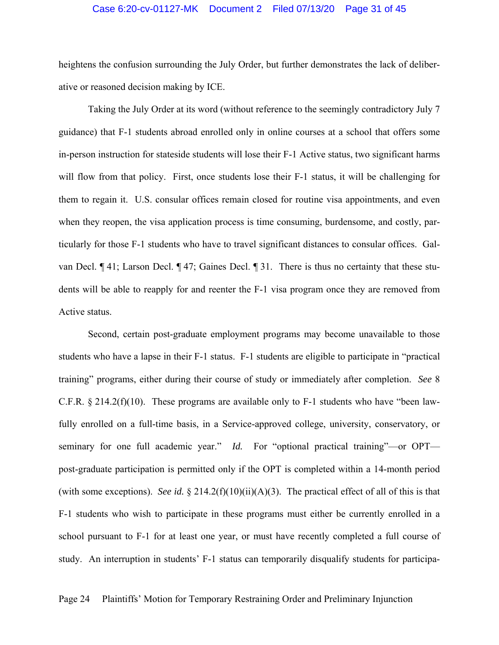#### Case 6:20-cv-01127-MK Document 2 Filed 07/13/20 Page 31 of 45

heightens the confusion surrounding the July Order, but further demonstrates the lack of deliberative or reasoned decision making by ICE.

Taking the July Order at its word (without reference to the seemingly contradictory July 7 guidance) that F-1 students abroad enrolled only in online courses at a school that offers some in-person instruction for stateside students will lose their F-1 Active status, two significant harms will flow from that policy. First, once students lose their F-1 status, it will be challenging for them to regain it. U.S. consular offices remain closed for routine visa appointments, and even when they reopen, the visa application process is time consuming, burdensome, and costly, particularly for those F-1 students who have to travel significant distances to consular offices. Galvan Decl. ¶ 41; Larson Decl. ¶ 47; Gaines Decl. ¶ 31. There is thus no certainty that these students will be able to reapply for and reenter the F-1 visa program once they are removed from Active status.

Second, certain post-graduate employment programs may become unavailable to those students who have a lapse in their F-1 status. F-1 students are eligible to participate in "practical training" programs, either during their course of study or immediately after completion. *See* 8 C.F.R.  $\S 214.2(f)(10)$ . These programs are available only to F-1 students who have "been lawfully enrolled on a full-time basis, in a Service-approved college, university, conservatory, or seminary for one full academic year." *Id*. For "optional practical training"-or OPTpost-graduate participation is permitted only if the OPT is completed within a 14-month period (with some exceptions). *See id.* § 214.2(f)(10)(ii)(A)(3). The practical effect of all of this is that F-1 students who wish to participate in these programs must either be currently enrolled in a school pursuant to F-1 for at least one year, or must have recently completed a full course of study. An interruption in students' F-1 status can temporarily disqualify students for participa-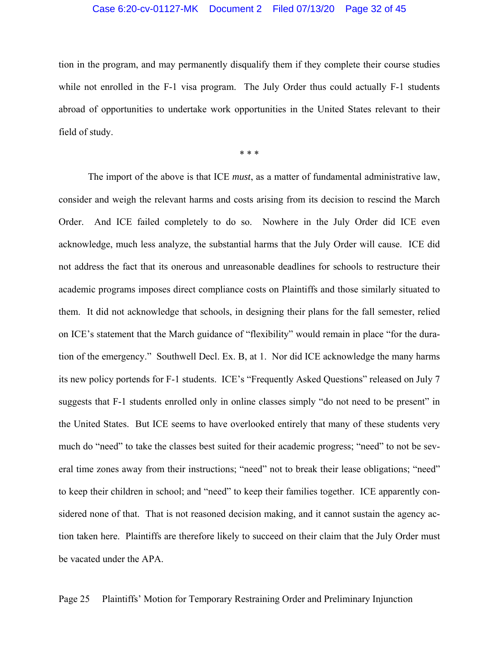#### Case 6:20-cv-01127-MK Document 2 Filed 07/13/20 Page 32 of 45

tion in the program, and may permanently disqualify them if they complete their course studies while not enrolled in the F-1 visa program. The July Order thus could actually F-1 students abroad of opportunities to undertake work opportunities in the United States relevant to their field of study.

\* \* \*

The import of the above is that ICE *must*, as a matter of fundamental administrative law, consider and weigh the relevant harms and costs arising from its decision to rescind the March Order. And ICE failed completely to do so. Nowhere in the July Order did ICE even acknowledge, much less analyze, the substantial harms that the July Order will cause. ICE did not address the fact that its onerous and unreasonable deadlines for schools to restructure their academic programs imposes direct compliance costs on Plaintiffs and those similarly situated to them. It did not acknowledge that schools, in designing their plans for the fall semester, relied on ICE's statement that the March guidance of "flexibility" would remain in place "for the duration of the emergency." Southwell Decl. Ex. B, at 1. Nor did ICE acknowledge the many harms its new policy portends for F-1 students. ICE's "Frequently Asked Questions" released on July 7 suggests that F-1 students enrolled only in online classes simply "do not need to be present" in the United States. But ICE seems to have overlooked entirely that many of these students very much do "need" to take the classes best suited for their academic progress; "need" to not be several time zones away from their instructions; "need" not to break their lease obligations; "need" to keep their children in school; and "need" to keep their families together. ICE apparently considered none of that. That is not reasoned decision making, and it cannot sustain the agency action taken here. Plaintiffs are therefore likely to succeed on their claim that the July Order must be vacated under the APA.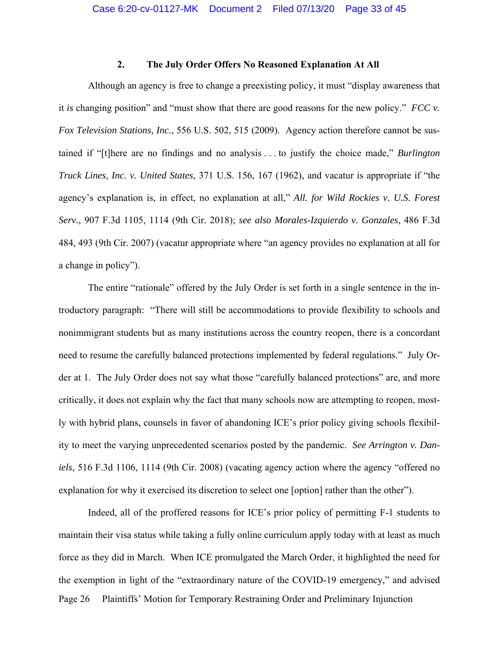#### **2. The July Order Offers No Reasoned Explanation At All**

Although an agency is free to change a preexisting policy, it must "display awareness that it *is* changing position" and "must show that there are good reasons for the new policy." *FCC v. Fox Television Stations, Inc.*, 556 U.S. 502, 515 (2009). Agency action therefore cannot be sustained if "[t]here are no findings and no analysis . . . to justify the choice made," *Burlington Truck Lines, Inc. v. United States*, 371 U.S. 156, 167 (1962), and vacatur is appropriate if "the agency's explanation is, in effect, no explanation at all," *All. for Wild Rockies v. U.S. Forest Serv.*, 907 F.3d 1105, 1114 (9th Cir. 2018); *see also Morales-Izquierdo v. Gonzales*, 486 F.3d 484, 493 (9th Cir. 2007) (vacatur appropriate where "an agency provides no explanation at all for a change in policy").

 The entire "rationale" offered by the July Order is set forth in a single sentence in the introductory paragraph: "There will still be accommodations to provide flexibility to schools and nonimmigrant students but as many institutions across the country reopen, there is a concordant need to resume the carefully balanced protections implemented by federal regulations." July Order at 1. The July Order does not say what those "carefully balanced protections" are, and more critically, it does not explain why the fact that many schools now are attempting to reopen, mostly with hybrid plans, counsels in favor of abandoning ICE's prior policy giving schools flexibility to meet the varying unprecedented scenarios posted by the pandemic. *See Arrington v. Daniels*, 516 F.3d 1106, 1114 (9th Cir. 2008) (vacating agency action where the agency "offered no explanation for why it exercised its discretion to select one [option] rather than the other").

Page 26 Plaintiffs' Motion for Temporary Restraining Order and Preliminary Injunction Indeed, all of the proffered reasons for ICE's prior policy of permitting F-1 students to maintain their visa status while taking a fully online curriculum apply today with at least as much force as they did in March. When ICE promulgated the March Order, it highlighted the need for the exemption in light of the "extraordinary nature of the COVID-19 emergency," and advised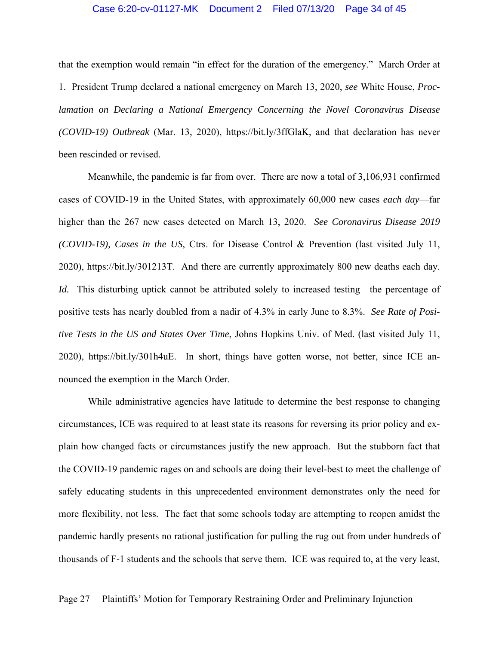#### Case 6:20-cv-01127-MK Document 2 Filed 07/13/20 Page 34 of 45

that the exemption would remain "in effect for the duration of the emergency." March Order at 1. President Trump declared a national emergency on March 13, 2020, *see* White House, *Proclamation on Declaring a National Emergency Concerning the Novel Coronavirus Disease (COVID-19) Outbreak* (Mar. 13, 2020), https://bit.ly/3ffGlaK, and that declaration has never been rescinded or revised.

Meanwhile, the pandemic is far from over. There are now a total of 3,106,931 confirmed cases of COVID-19 in the United States, with approximately 60,000 new cases *each day*—far higher than the 267 new cases detected on March 13, 2020. *See Coronavirus Disease 2019 (COVID-19), Cases in the US*, Ctrs. for Disease Control & Prevention (last visited July 11, 2020), https://bit.ly/301213T. And there are currently approximately 800 new deaths each day. *Id.* This disturbing uptick cannot be attributed solely to increased testing—the percentage of positive tests has nearly doubled from a nadir of 4.3% in early June to 8.3%. *See Rate of Positive Tests in the US and States Over Time*, Johns Hopkins Univ. of Med. (last visited July 11, 2020), https://bit.ly/301h4uE. In short, things have gotten worse, not better, since ICE announced the exemption in the March Order.

While administrative agencies have latitude to determine the best response to changing circumstances, ICE was required to at least state its reasons for reversing its prior policy and explain how changed facts or circumstances justify the new approach. But the stubborn fact that the COVID-19 pandemic rages on and schools are doing their level-best to meet the challenge of safely educating students in this unprecedented environment demonstrates only the need for more flexibility, not less. The fact that some schools today are attempting to reopen amidst the pandemic hardly presents no rational justification for pulling the rug out from under hundreds of thousands of F-1 students and the schools that serve them. ICE was required to, at the very least,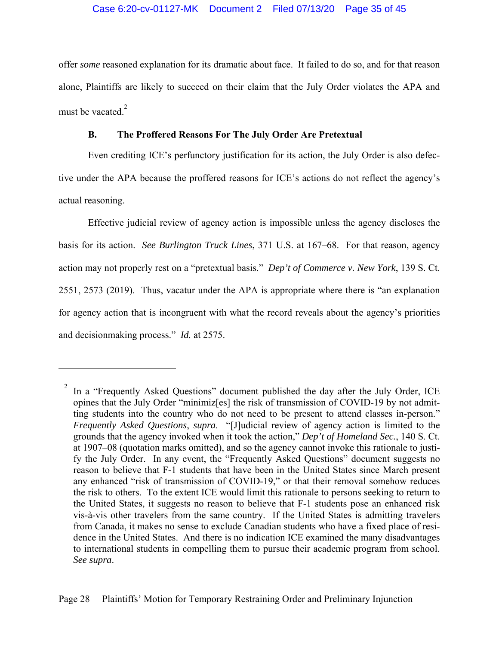offer *some* reasoned explanation for its dramatic about face. It failed to do so, and for that reason alone, Plaintiffs are likely to succeed on their claim that the July Order violates the APA and must be vacated.<sup>2</sup>

#### **B. The Proffered Reasons For The July Order Are Pretextual**

Even crediting ICE's perfunctory justification for its action, the July Order is also defective under the APA because the proffered reasons for ICE's actions do not reflect the agency's actual reasoning.

Effective judicial review of agency action is impossible unless the agency discloses the basis for its action. *See Burlington Truck Lines*, 371 U.S. at 167–68. For that reason, agency action may not properly rest on a "pretextual basis." *Dep't of Commerce v. New York*, 139 S. Ct. 2551, 2573 (2019). Thus, vacatur under the APA is appropriate where there is "an explanation for agency action that is incongruent with what the record reveals about the agency's priorities and decisionmaking process." *Id.* at 2575.

1

<sup>2</sup> In a "Frequently Asked Questions" document published the day after the July Order, ICE opines that the July Order "minimiz[es] the risk of transmission of COVID-19 by not admitting students into the country who do not need to be present to attend classes in-person." *Frequently Asked Questions*, *supra*. "[J]udicial review of agency action is limited to the grounds that the agency invoked when it took the action," *Dep't of Homeland Sec.*, 140 S. Ct. at 1907–08 (quotation marks omitted), and so the agency cannot invoke this rationale to justify the July Order. In any event, the "Frequently Asked Questions" document suggests no reason to believe that F-1 students that have been in the United States since March present any enhanced "risk of transmission of COVID-19," or that their removal somehow reduces the risk to others. To the extent ICE would limit this rationale to persons seeking to return to the United States, it suggests no reason to believe that F-1 students pose an enhanced risk vis-à-vis other travelers from the same country. If the United States is admitting travelers from Canada, it makes no sense to exclude Canadian students who have a fixed place of residence in the United States. And there is no indication ICE examined the many disadvantages to international students in compelling them to pursue their academic program from school. *See supra*.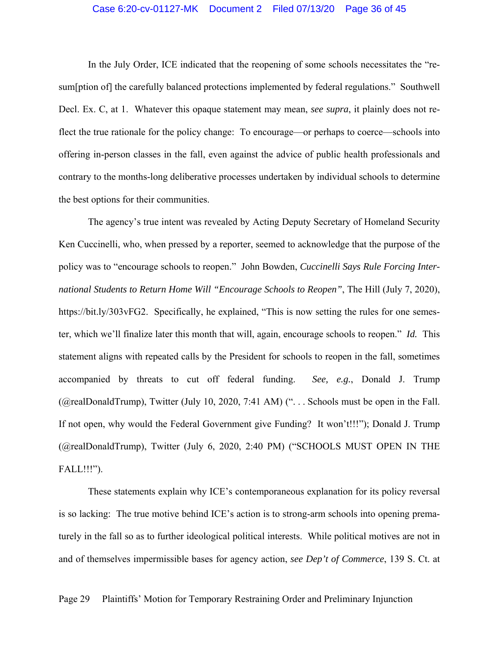#### Case 6:20-cv-01127-MK Document 2 Filed 07/13/20 Page 36 of 45

In the July Order, ICE indicated that the reopening of some schools necessitates the "resum[ption of] the carefully balanced protections implemented by federal regulations." Southwell Decl. Ex. C, at 1. Whatever this opaque statement may mean, *see supra*, it plainly does not reflect the true rationale for the policy change: To encourage—or perhaps to coerce—schools into offering in-person classes in the fall, even against the advice of public health professionals and contrary to the months-long deliberative processes undertaken by individual schools to determine the best options for their communities.

The agency's true intent was revealed by Acting Deputy Secretary of Homeland Security Ken Cuccinelli, who, when pressed by a reporter, seemed to acknowledge that the purpose of the policy was to "encourage schools to reopen." John Bowden, *Cuccinelli Says Rule Forcing International Students to Return Home Will "Encourage Schools to Reopen"*, The Hill (July 7, 2020), https://bit.ly/303vFG2. Specifically, he explained, "This is now setting the rules for one semester, which we'll finalize later this month that will, again, encourage schools to reopen." *Id.* This statement aligns with repeated calls by the President for schools to reopen in the fall, sometimes accompanied by threats to cut off federal funding. *See, e.g.*, Donald J. Trump ( $@realDonaldTrump$ ), Twitter (July 10, 2020, 7:41 AM) ("... Schools must be open in the Fall. If not open, why would the Federal Government give Funding? It won't!!!"); Donald J. Trump (@realDonaldTrump), Twitter (July 6, 2020, 2:40 PM) ("SCHOOLS MUST OPEN IN THE FALL!!!").

These statements explain why ICE's contemporaneous explanation for its policy reversal is so lacking: The true motive behind ICE's action is to strong-arm schools into opening prematurely in the fall so as to further ideological political interests. While political motives are not in and of themselves impermissible bases for agency action, *see Dep't of Commerce*, 139 S. Ct. at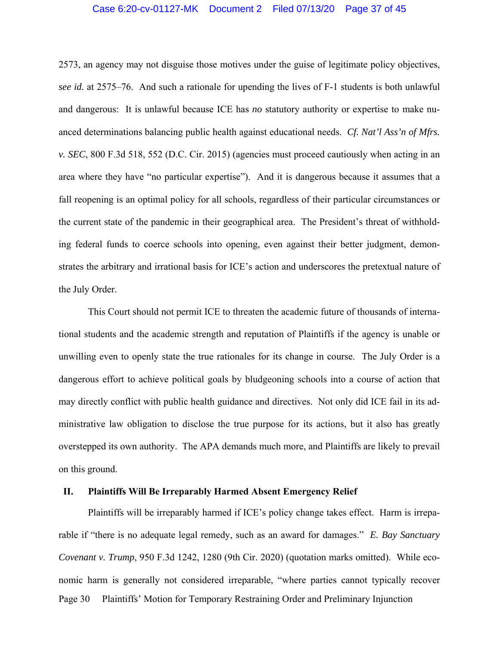#### Case 6:20-cv-01127-MK Document 2 Filed 07/13/20 Page 37 of 45

2573, an agency may not disguise those motives under the guise of legitimate policy objectives, *see id.* at 2575–76. And such a rationale for upending the lives of F-1 students is both unlawful and dangerous: It is unlawful because ICE has *no* statutory authority or expertise to make nuanced determinations balancing public health against educational needs. *Cf. Nat'l Ass'n of Mfrs. v. SEC*, 800 F.3d 518, 552 (D.C. Cir. 2015) (agencies must proceed cautiously when acting in an area where they have "no particular expertise"). And it is dangerous because it assumes that a fall reopening is an optimal policy for all schools, regardless of their particular circumstances or the current state of the pandemic in their geographical area. The President's threat of withholding federal funds to coerce schools into opening, even against their better judgment, demonstrates the arbitrary and irrational basis for ICE's action and underscores the pretextual nature of the July Order.

This Court should not permit ICE to threaten the academic future of thousands of international students and the academic strength and reputation of Plaintiffs if the agency is unable or unwilling even to openly state the true rationales for its change in course. The July Order is a dangerous effort to achieve political goals by bludgeoning schools into a course of action that may directly conflict with public health guidance and directives. Not only did ICE fail in its administrative law obligation to disclose the true purpose for its actions, but it also has greatly overstepped its own authority. The APA demands much more, and Plaintiffs are likely to prevail on this ground.

#### **II. Plaintiffs Will Be Irreparably Harmed Absent Emergency Relief**

Page 30 Plaintiffs' Motion for Temporary Restraining Order and Preliminary Injunction Plaintiffs will be irreparably harmed if ICE's policy change takes effect. Harm is irreparable if "there is no adequate legal remedy, such as an award for damages." *E. Bay Sanctuary Covenant v. Trump*, 950 F.3d 1242, 1280 (9th Cir. 2020) (quotation marks omitted). While economic harm is generally not considered irreparable, "where parties cannot typically recover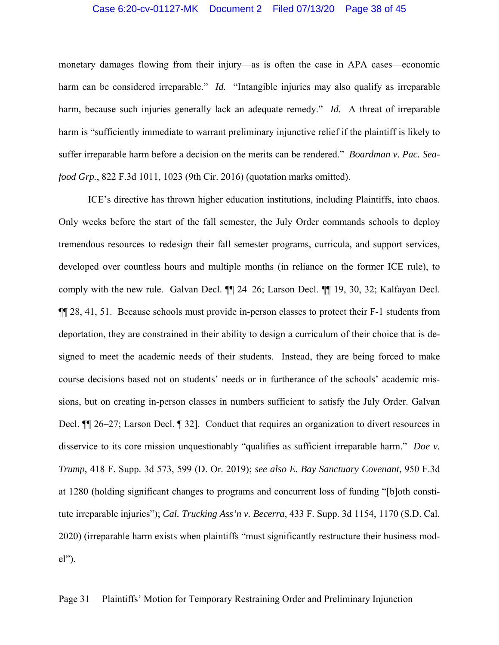monetary damages flowing from their injury—as is often the case in APA cases—economic harm can be considered irreparable." *Id.* "Intangible injuries may also qualify as irreparable harm, because such injuries generally lack an adequate remedy." *Id.* A threat of irreparable harm is "sufficiently immediate to warrant preliminary injunctive relief if the plaintiff is likely to suffer irreparable harm before a decision on the merits can be rendered." *Boardman v. Pac. Seafood Grp.*, 822 F.3d 1011, 1023 (9th Cir. 2016) (quotation marks omitted).

ICE's directive has thrown higher education institutions, including Plaintiffs, into chaos. Only weeks before the start of the fall semester, the July Order commands schools to deploy tremendous resources to redesign their fall semester programs, curricula, and support services, developed over countless hours and multiple months (in reliance on the former ICE rule), to comply with the new rule. Galvan Decl. ¶¶ 24–26; Larson Decl. ¶¶ 19, 30, 32; Kalfayan Decl. ¶¶ 28, 41, 51. Because schools must provide in-person classes to protect their F-1 students from deportation, they are constrained in their ability to design a curriculum of their choice that is designed to meet the academic needs of their students. Instead, they are being forced to make course decisions based not on students' needs or in furtherance of the schools' academic missions, but on creating in-person classes in numbers sufficient to satisfy the July Order. Galvan Decl. ¶¶ 26–27; Larson Decl. ¶ 32]. Conduct that requires an organization to divert resources in disservice to its core mission unquestionably "qualifies as sufficient irreparable harm." *Doe v. Trump*, 418 F. Supp. 3d 573, 599 (D. Or. 2019); *see also E. Bay Sanctuary Covenant*, 950 F.3d at 1280 (holding significant changes to programs and concurrent loss of funding "[b]oth constitute irreparable injuries"); *Cal. Trucking Ass'n v. Becerra*, 433 F. Supp. 3d 1154, 1170 (S.D. Cal. 2020) (irreparable harm exists when plaintiffs "must significantly restructure their business model").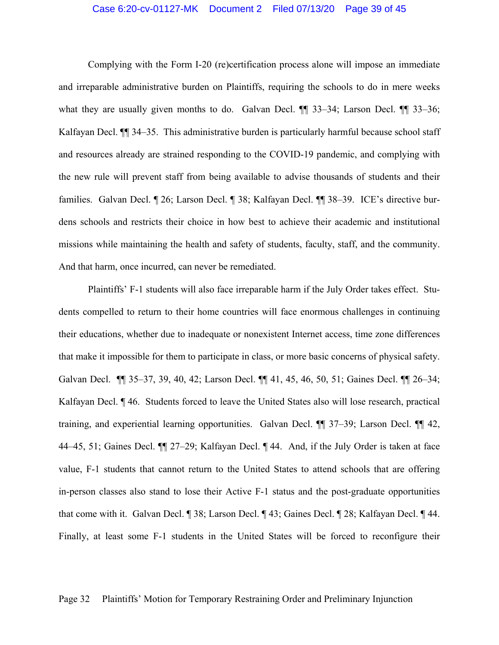#### Case 6:20-cv-01127-MK Document 2 Filed 07/13/20 Page 39 of 45

Complying with the Form I-20 (re)certification process alone will impose an immediate and irreparable administrative burden on Plaintiffs, requiring the schools to do in mere weeks what they are usually given months to do. Galvan Decl. **[1]** 33–34; Larson Decl. **[1]** 33–36; Kalfayan Decl.  $\P$  34–35. This administrative burden is particularly harmful because school staff and resources already are strained responding to the COVID-19 pandemic, and complying with the new rule will prevent staff from being available to advise thousands of students and their families. Galvan Decl. ¶ 26; Larson Decl. ¶ 38; Kalfayan Decl. ¶¶ 38–39. ICE's directive burdens schools and restricts their choice in how best to achieve their academic and institutional missions while maintaining the health and safety of students, faculty, staff, and the community. And that harm, once incurred, can never be remediated.

Plaintiffs' F-1 students will also face irreparable harm if the July Order takes effect. Students compelled to return to their home countries will face enormous challenges in continuing their educations, whether due to inadequate or nonexistent Internet access, time zone differences that make it impossible for them to participate in class, or more basic concerns of physical safety. Galvan Decl. ¶¶ 35–37, 39, 40, 42; Larson Decl. ¶¶ 41, 45, 46, 50, 51; Gaines Decl. ¶¶ 26–34; Kalfayan Decl. ¶ 46. Students forced to leave the United States also will lose research, practical training, and experiential learning opportunities. Galvan Decl. ¶¶ 37–39; Larson Decl. ¶¶ 42, 44–45, 51; Gaines Decl. ¶¶ 27–29; Kalfayan Decl. ¶ 44. And, if the July Order is taken at face value, F-1 students that cannot return to the United States to attend schools that are offering in-person classes also stand to lose their Active F-1 status and the post-graduate opportunities that come with it. Galvan Decl. ¶ 38; Larson Decl. ¶ 43; Gaines Decl. ¶ 28; Kalfayan Decl. ¶ 44. Finally, at least some F-1 students in the United States will be forced to reconfigure their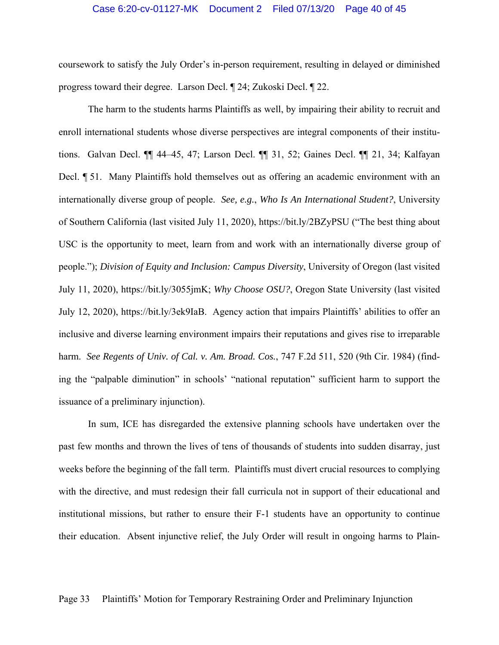#### Case 6:20-cv-01127-MK Document 2 Filed 07/13/20 Page 40 of 45

coursework to satisfy the July Order's in-person requirement, resulting in delayed or diminished progress toward their degree. Larson Decl. ¶ 24; Zukoski Decl. ¶ 22.

The harm to the students harms Plaintiffs as well, by impairing their ability to recruit and enroll international students whose diverse perspectives are integral components of their institutions. Galvan Decl. ¶¶ 44–45, 47; Larson Decl. ¶¶ 31, 52; Gaines Decl. ¶¶ 21, 34; Kalfayan Decl. ¶ 51. Many Plaintiffs hold themselves out as offering an academic environment with an internationally diverse group of people. *See, e.g.*, *Who Is An International Student?*, University of Southern California (last visited July 11, 2020), https://bit.ly/2BZyPSU ("The best thing about USC is the opportunity to meet, learn from and work with an internationally diverse group of people."); *Division of Equity and Inclusion: Campus Diversity*, University of Oregon (last visited July 11, 2020), https://bit.ly/3055jmK; *Why Choose OSU?*, Oregon State University (last visited July 12, 2020), https://bit.ly/3ek9IaB. Agency action that impairs Plaintiffs' abilities to offer an inclusive and diverse learning environment impairs their reputations and gives rise to irreparable harm. *See Regents of Univ. of Cal. v. Am. Broad. Cos.*, 747 F.2d 511, 520 (9th Cir. 1984) (finding the "palpable diminution" in schools' "national reputation" sufficient harm to support the issuance of a preliminary injunction).

In sum, ICE has disregarded the extensive planning schools have undertaken over the past few months and thrown the lives of tens of thousands of students into sudden disarray, just weeks before the beginning of the fall term. Plaintiffs must divert crucial resources to complying with the directive, and must redesign their fall curricula not in support of their educational and institutional missions, but rather to ensure their F-1 students have an opportunity to continue their education. Absent injunctive relief, the July Order will result in ongoing harms to Plain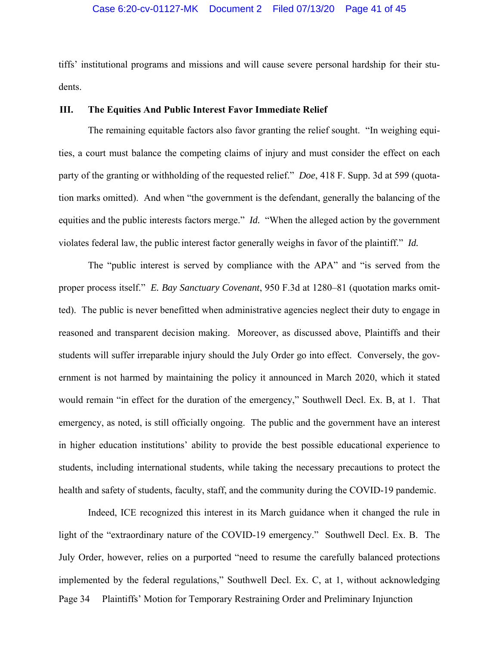tiffs' institutional programs and missions and will cause severe personal hardship for their students.

#### **III. The Equities And Public Interest Favor Immediate Relief**

The remaining equitable factors also favor granting the relief sought. "In weighing equities, a court must balance the competing claims of injury and must consider the effect on each party of the granting or withholding of the requested relief." *Doe*, 418 F. Supp. 3d at 599 (quotation marks omitted). And when "the government is the defendant, generally the balancing of the equities and the public interests factors merge." *Id.* "When the alleged action by the government violates federal law, the public interest factor generally weighs in favor of the plaintiff." *Id.*

The "public interest is served by compliance with the APA" and "is served from the proper process itself." *E. Bay Sanctuary Covenant*, 950 F.3d at 1280–81 (quotation marks omitted). The public is never benefitted when administrative agencies neglect their duty to engage in reasoned and transparent decision making. Moreover, as discussed above, Plaintiffs and their students will suffer irreparable injury should the July Order go into effect. Conversely, the government is not harmed by maintaining the policy it announced in March 2020, which it stated would remain "in effect for the duration of the emergency," Southwell Decl. Ex. B, at 1. That emergency, as noted, is still officially ongoing. The public and the government have an interest in higher education institutions' ability to provide the best possible educational experience to students, including international students, while taking the necessary precautions to protect the health and safety of students, faculty, staff, and the community during the COVID-19 pandemic.

Page 34 Plaintiffs' Motion for Temporary Restraining Order and Preliminary Injunction Indeed, ICE recognized this interest in its March guidance when it changed the rule in light of the "extraordinary nature of the COVID-19 emergency." Southwell Decl. Ex. B. The July Order, however, relies on a purported "need to resume the carefully balanced protections implemented by the federal regulations," Southwell Decl. Ex. C, at 1, without acknowledging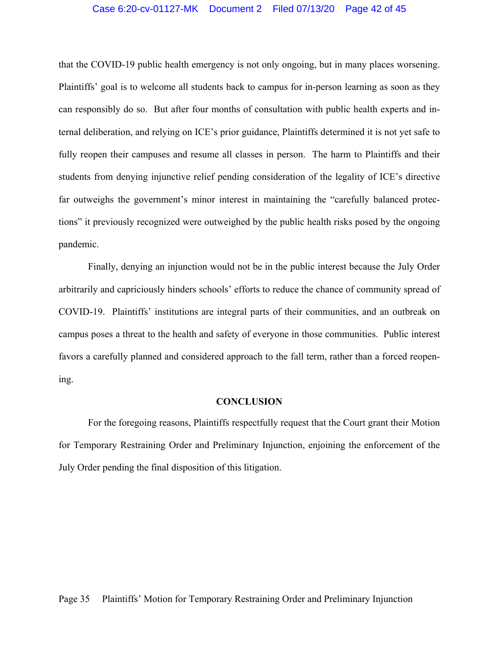#### Case 6:20-cv-01127-MK Document 2 Filed 07/13/20 Page 42 of 45

that the COVID-19 public health emergency is not only ongoing, but in many places worsening. Plaintiffs' goal is to welcome all students back to campus for in-person learning as soon as they can responsibly do so. But after four months of consultation with public health experts and internal deliberation, and relying on ICE's prior guidance, Plaintiffs determined it is not yet safe to fully reopen their campuses and resume all classes in person. The harm to Plaintiffs and their students from denying injunctive relief pending consideration of the legality of ICE's directive far outweighs the government's minor interest in maintaining the "carefully balanced protections" it previously recognized were outweighed by the public health risks posed by the ongoing pandemic.

Finally, denying an injunction would not be in the public interest because the July Order arbitrarily and capriciously hinders schools' efforts to reduce the chance of community spread of COVID-19. Plaintiffs' institutions are integral parts of their communities, and an outbreak on campus poses a threat to the health and safety of everyone in those communities. Public interest favors a carefully planned and considered approach to the fall term, rather than a forced reopening.

#### **CONCLUSION**

For the foregoing reasons, Plaintiffs respectfully request that the Court grant their Motion for Temporary Restraining Order and Preliminary Injunction, enjoining the enforcement of the July Order pending the final disposition of this litigation.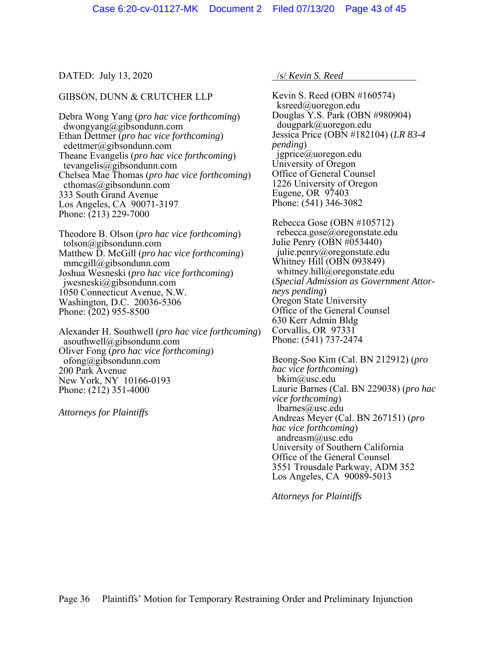#### DATED: July 13, 2020

#### GIBSON, DUNN & CRUTCHER LLP

Debra Wong Yang (*pro hac vice forthcoming*) dwongyang@gibsondunn.com Ethan Dettmer (*pro hac vice forthcoming*) edettmer@gibsondunn.com Theane Evangelis (*pro hac vice forthcoming*) tevangelis@gibsondunn.com Chelsea Mae Thomas (*pro hac vice forthcoming*) cthomas@gibsondunn.com 333 South Grand Avenue Los Angeles, CA 90071-3197 Phone:  $(213)$  229-7000

Theodore B. Olson (*pro hac vice forthcoming*) tolson@gibsondunn.com Matthew D. McGill (*pro hac vice forthcoming*) mmcgill@gibsondunn.com Joshua Wesneski (*pro hac vice forthcoming*) jwesneski@gibsondunn.com 1050 Connecticut Avenue, N.W. Washington, D.C. 20036-5306 Phone: (202) 955-8500

Alexander H. Southwell (*pro hac vice forthcoming*) asouthwell@gibsondunn.com Oliver Fong (*pro hac vice forthcoming*) ofong@gibsondunn.com 200 Park Avenue New York, NY 10166-0193 Phone: (212) 351-4000

*Attorneys for Plaintiffs*

/s/ *Kevin S. Reed*

Kevin S. Reed (OBN #160574) ksreed@uoregon.edu Douglas Y.S. Park (OBN #980904) dougpark@uoregon.edu Jessica Price (OBN #182104) (*LR 83-4 pending*) jgprice@uoregon.edu University of Oregon Office of General Counsel 1226 University of Oregon Eugene, OR 97403 Phone: (541) 346-3082

Rebecca Gose (OBN #105712) rebecca.gose@oregonstate.edu Julie Penry (OBN #053440) julie.penry@oregonstate.edu Whitney Hill (OBN 093849) whitney.hill@oregonstate.edu (*Special Admission as Government Attorneys pending*) Oregon State University Office of the General Counsel 630 Kerr Admin Bldg Corvallis, OR 97331 Phone: (541) 737-2474

Beong-Soo Kim (Cal. BN 212912) (*pro hac vice forthcoming*) bkim@usc.edu Laurie Barnes (Cal. BN 229038) (*pro hac vice forthcoming*) lbarnes@usc.edu Andreas Meyer (Cal. BN 267151) (*pro hac vice forthcoming*) andreasm@usc.edu University of Southern California Office of the General Counsel 3551 Trousdale Parkway, ADM 352 Los Angeles, CA 90089-5013

*Attorneys for Plaintiffs*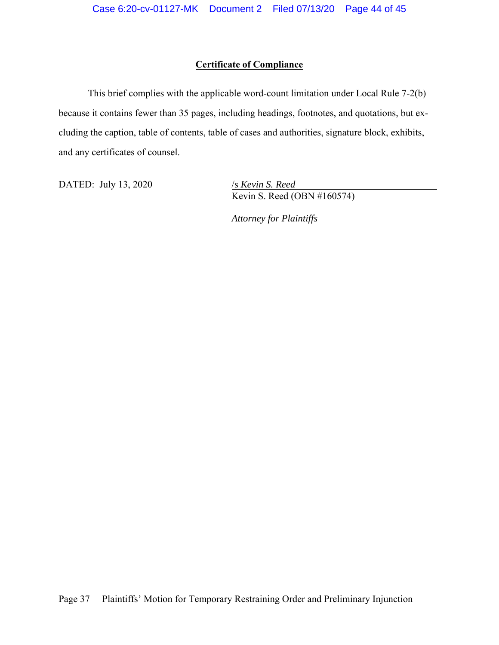## **Certificate of Compliance**

This brief complies with the applicable word-count limitation under Local Rule 7-2(b) because it contains fewer than 35 pages, including headings, footnotes, and quotations, but excluding the caption, table of contents, table of cases and authorities, signature block, exhibits, and any certificates of counsel.

DATED: July 13, 2020 /s *Kevin S. Reed*

Kevin S. Reed (OBN #160574)

*Attorney for Plaintiffs*